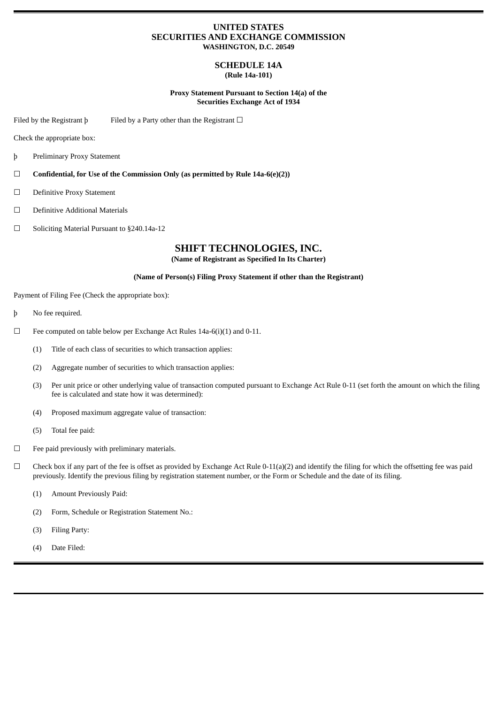# **UNITED STATES SECURITIES AND EXCHANGE COMMISSION WASHINGTON, D.C. 20549**

#### **SCHEDULE 14A (Rule 14a-101)**

## **Proxy Statement Pursuant to Section 14(a) of the Securities Exchange Act of 1934**

Filed by the Registrant  $\mathfrak b$  Filed by a Party other than the Registrant  $\Box$ 

Check the appropriate box:

- þ Preliminary Proxy Statement
- ☐ **Confidential, for Use of the Commission Only (as permitted by Rule 14a-6(e)(2))**
- ☐ Definitive Proxy Statement
- ☐ Definitive Additional Materials
- ☐ Soliciting Material Pursuant to §240.14a-12

# **SHIFT TECHNOLOGIES, INC.**

**(Name of Registrant as Specified In Its Charter)**

## **(Name of Person(s) Filing Proxy Statement if other than the Registrant)**

Payment of Filing Fee (Check the appropriate box):

- þ No fee required.
- $\Box$  Fee computed on table below per Exchange Act Rules 14a-6(i)(1) and 0-11.
	- (1) Title of each class of securities to which transaction applies:
	- (2) Aggregate number of securities to which transaction applies:
	- (3) Per unit price or other underlying value of transaction computed pursuant to Exchange Act Rule 0-11 (set forth the amount on which the filing fee is calculated and state how it was determined):
	- (4) Proposed maximum aggregate value of transaction:
	- (5) Total fee paid:
- ☐ Fee paid previously with preliminary materials.
- $\Box$  Check box if any part of the fee is offset as provided by Exchange Act Rule 0-11(a)(2) and identify the filing for which the offsetting fee was paid previously. Identify the previous filing by registration statement number, or the Form or Schedule and the date of its filing.
	- (1) Amount Previously Paid:
	- (2) Form, Schedule or Registration Statement No.:
	- (3) Filing Party:
	- (4) Date Filed: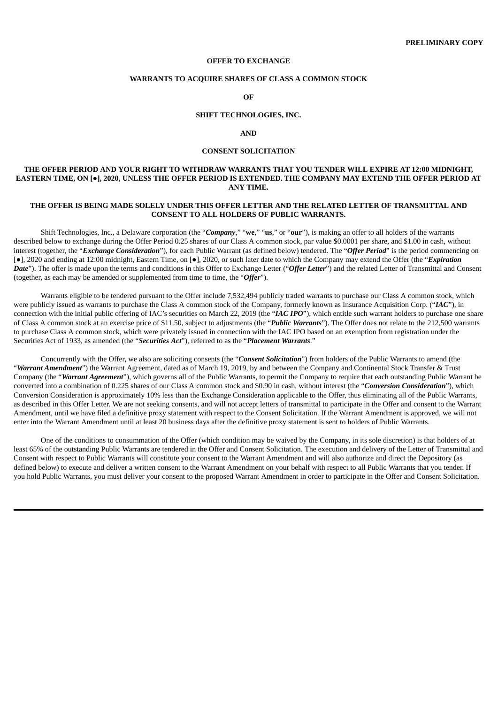#### **OFFER TO EXCHANGE**

## **WARRANTS TO ACQUIRE SHARES OF CLASS A COMMON STOCK**

**OF**

## **SHIFT TECHNOLOGIES, INC.**

#### **AND**

## **CONSENT SOLICITATION**

## **THE OFFER PERIOD AND YOUR RIGHT TO WITHDRAW WARRANTS THAT YOU TENDER WILL EXPIRE AT 12:00 MIDNIGHT,** EASTERN TIME, ON [.], 2020, UNLESS THE OFFER PERIOD IS EXTENDED. THE COMPANY MAY EXTEND THE OFFER PERIOD AT **ANY TIME.**

## **THE OFFER IS BEING MADE SOLELY UNDER THIS OFFER LETTER AND THE RELATED LETTER OF TRANSMITTAL AND CONSENT TO ALL HOLDERS OF PUBLIC WARRANTS.**

Shift Technologies, Inc., a Delaware corporation (the "*Company*," "**we**," "**us**," or "**our**"), is making an offer to all holders of the warrants described below to exchange during the Offer Period 0.25 shares of our Class A common stock, par value \$0.0001 per share, and \$1.00 in cash, without interest (together, the "*Exchange Consideration*"), for each Public Warrant (as defined below) tendered. The "*Offer Period*" is the period commencing on [●], 2020 and ending at 12:00 midnight, Eastern Time, on [●], 2020, or such later date to which the Company may extend the Offer (the "*Expiration Date*"). The offer is made upon the terms and conditions in this Offer to Exchange Letter ("*Offer Letter*") and the related Letter of Transmittal and Consent (together, as each may be amended or supplemented from time to time, the "*Offer*").

Warrants eligible to be tendered pursuant to the Offer include 7,532,494 publicly traded warrants to purchase our Class A common stock, which were publicly issued as warrants to purchase the Class A common stock of the Company, formerly known as Insurance Acquisition Corp. ("*IAC*"), in connection with the initial public offering of IAC's securities on March 22, 2019 (the "*IAC IPO*"), which entitle such warrant holders to purchase one share of Class A common stock at an exercise price of \$11.50, subject to adjustments (the "*Public Warrants*"). The Offer does not relate to the 212,500 warrants to purchase Class A common stock, which were privately issued in connection with the IAC IPO based on an exemption from registration under the Securities Act of 1933, as amended (the "*Securities Act*"), referred to as the "*Placement Warrants*."

Concurrently with the Offer, we also are soliciting consents (the "Consent Solicitation") from holders of the Public Warrants to amend (the "*Warrant Amendment*") the Warrant Agreement, dated as of March 19, 2019, by and between the Company and Continental Stock Transfer & Trust Company (the "*Warrant Agreement*"), which governs all of the Public Warrants, to permit the Company to require that each outstanding Public Warrant be converted into a combination of 0.225 shares of our Class A common stock and \$0.90 in cash, without interest (the "*Conversion Consideration*"), which Conversion Consideration is approximately 10% less than the Exchange Consideration applicable to the Offer, thus eliminating all of the Public Warrants, as described in this Offer Letter. We are not seeking consents, and will not accept letters of transmittal to participate in the Offer and consent to the Warrant Amendment, until we have filed a definitive proxy statement with respect to the Consent Solicitation. If the Warrant Amendment is approved, we will not enter into the Warrant Amendment until at least 20 business days after the definitive proxy statement is sent to holders of Public Warrants.

One of the conditions to consummation of the Offer (which condition may be waived by the Company, in its sole discretion) is that holders of at least 65% of the outstanding Public Warrants are tendered in the Offer and Consent Solicitation. The execution and delivery of the Letter of Transmittal and Consent with respect to Public Warrants will constitute your consent to the Warrant Amendment and will also authorize and direct the Depository (as defined below) to execute and deliver a written consent to the Warrant Amendment on your behalf with respect to all Public Warrants that you tender. If you hold Public Warrants, you must deliver your consent to the proposed Warrant Amendment in order to participate in the Offer and Consent Solicitation.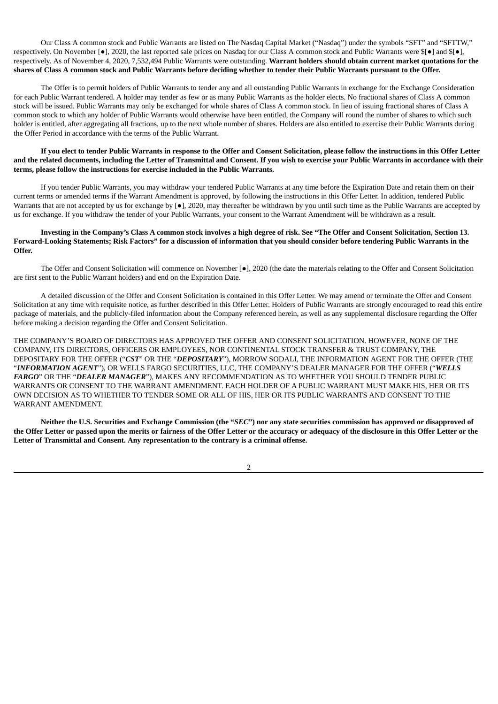Our Class A common stock and Public Warrants are listed on The Nasdaq Capital Market ("Nasdaq") under the symbols "SFT" and "SFTTW," respectively. On November [●], 2020, the last reported sale prices on Nasdaq for our Class A common stock and Public Warrants were \$[●] and \$[●], respectively. As of November 4, 2020, 7,532,494 Public Warrants were outstanding. **Warrant holders should obtain current market quotations for the** shares of Class A common stock and Public Warrants before deciding whether to tender their Public Warrants pursuant to the Offer.

The Offer is to permit holders of Public Warrants to tender any and all outstanding Public Warrants in exchange for the Exchange Consideration for each Public Warrant tendered. A holder may tender as few or as many Public Warrants as the holder elects. No fractional shares of Class A common stock will be issued. Public Warrants may only be exchanged for whole shares of Class A common stock. In lieu of issuing fractional shares of Class A common stock to which any holder of Public Warrants would otherwise have been entitled, the Company will round the number of shares to which such holder is entitled, after aggregating all fractions, up to the next whole number of shares. Holders are also entitled to exercise their Public Warrants during the Offer Period in accordance with the terms of the Public Warrant.

## If you elect to tender Public Warrants in response to the Offer and Consent Solicitation, please follow the instructions in this Offer Letter and the related documents, including the Letter of Transmittal and Consent. If you wish to exercise your Public Warrants in accordance with their **terms, please follow the instructions for exercise included in the Public Warrants.**

If you tender Public Warrants, you may withdraw your tendered Public Warrants at any time before the Expiration Date and retain them on their current terms or amended terms if the Warrant Amendment is approved, by following the instructions in this Offer Letter. In addition, tendered Public Warrants that are not accepted by us for exchange by [ $\bullet$ ], 2020, may thereafter be withdrawn by you until such time as the Public Warrants are accepted by us for exchange. If you withdraw the tender of your Public Warrants, your consent to the Warrant Amendment will be withdrawn as a result.

## Investing in the Company's Class A common stock involves a high degree of risk. See "The Offer and Consent Solicitation, Section 13. Forward-Looking Statements; Risk Factors" for a discussion of information that you should consider before tendering Public Warrants in the **Offer.**

The Offer and Consent Solicitation will commence on November [●], 2020 (the date the materials relating to the Offer and Consent Solicitation are first sent to the Public Warrant holders) and end on the Expiration Date.

A detailed discussion of the Offer and Consent Solicitation is contained in this Offer Letter. We may amend or terminate the Offer and Consent Solicitation at any time with requisite notice, as further described in this Offer Letter. Holders of Public Warrants are strongly encouraged to read this entire package of materials, and the publicly-filed information about the Company referenced herein, as well as any supplemental disclosure regarding the Offer before making a decision regarding the Offer and Consent Solicitation.

THE COMPANY'S BOARD OF DIRECTORS HAS APPROVED THE OFFER AND CONSENT SOLICITATION. HOWEVER, NONE OF THE COMPANY, ITS DIRECTORS, OFFICERS OR EMPLOYEES, NOR CONTINENTAL STOCK TRANSFER & TRUST COMPANY, THE DEPOSITARY FOR THE OFFER ("*CST*" OR THE "*DEPOSITARY*"), MORROW SODALI, THE INFORMATION AGENT FOR THE OFFER (THE "*INFORMATION AGENT*"), OR WELLS FARGO SECURITIES, LLC, THE COMPANY'S DEALER MANAGER FOR THE OFFER ("*WELLS FARGO*" OR THE "*DEALER MANAGER*"), MAKES ANY RECOMMENDATION AS TO WHETHER YOU SHOULD TENDER PUBLIC WARRANTS OR CONSENT TO THE WARRANT AMENDMENT. EACH HOLDER OF A PUBLIC WARRANT MUST MAKE HIS, HER OR ITS OWN DECISION AS TO WHETHER TO TENDER SOME OR ALL OF HIS, HER OR ITS PUBLIC WARRANTS AND CONSENT TO THE WARRANT AMENDMENT.

Neither the U.S. Securities and Exchange Commission (the "SEC") nor any state securities commission has approved or disapproved of the Offer Letter or passed upon the merits or fairness of the Offer Letter or the accuracy or adequacy of the disclosure in this Offer Letter or the **Letter of Transmittal and Consent. Any representation to the contrary is a criminal offense.**

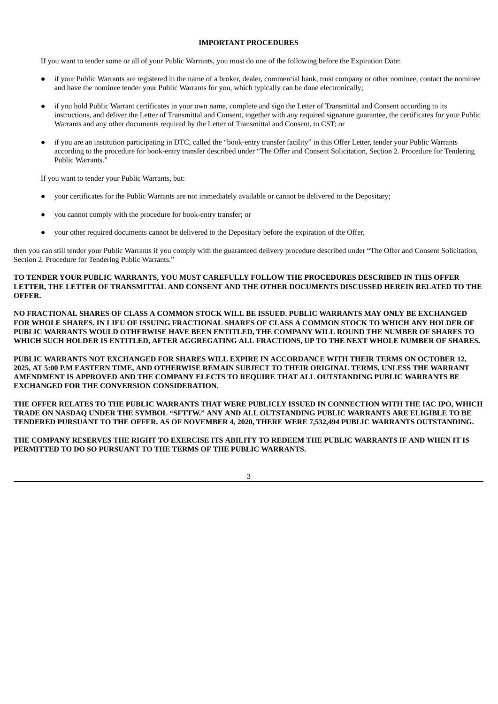## **IMPORTANT PROCEDURES**

If you want to tender some or all of your Public Warrants, you must do one of the following before the Expiration Date:

- if your Public Warrants are registered in the name of a broker, dealer, commercial bank, trust company or other nominee, contact the nominee and have the nominee tender your Public Warrants for you, which typically can be done electronically;
- if you hold Public Warrant certificates in your own name, complete and sign the Letter of Transmittal and Consent according to its instructions, and deliver the Letter of Transmittal and Consent, together with any required signature guarantee, the certificates for your Public Warrants and any other documents required by the Letter of Transmittal and Consent, to CST; or
- if you are an institution participating in DTC, called the "book-entry transfer facility" in this Offer Letter, tender your Public Warrants according to the procedure for book-entry transfer described under "The Offer and Consent Solicitation, Section 2. Procedure for Tendering Public Warrants.'

If you want to tender your Public Warrants, but:

- your certificates for the Public Warrants are not immediately available or cannot be delivered to the Depositary;
- you cannot comply with the procedure for book-entry transfer; or
- your other required documents cannot be delivered to the Depositary before the expiration of the Offer,

then you can still tender your Public Warrants if you comply with the guaranteed delivery procedure described under "The Offer and Consent Solicitation, Section 2. Procedure for Tendering Public Warrants."

**TO TENDER YOUR PUBLIC WARRANTS, YOU MUST CAREFULLY FOLLOW THE PROCEDURES DESCRIBED IN THIS OFFER LETTER, THE LETTER OF TRANSMITTAL AND CONSENT AND THE OTHER DOCUMENTS DISCUSSED HEREIN RELATED TO THE OFFER.**

**NO FRACTIONAL SHARES OF CLASS A COMMON STOCK WILL BE ISSUED. PUBLIC WARRANTS MAY ONLY BE EXCHANGED** FOR WHOLE SHARES. IN LIEU OF ISSUING FRACTIONAL SHARES OF CLASS A COMMON STOCK TO WHICH ANY HOLDER OF **PUBLIC WARRANTS WOULD OTHERWISE HAVE BEEN ENTITLED, THE COMPANY WILL ROUND THE NUMBER OF SHARES TO WHICH SUCH HOLDER IS ENTITLED, AFTER AGGREGATING ALL FRACTIONS, UP TO THE NEXT WHOLE NUMBER OF SHARES.**

**PUBLIC WARRANTS NOT EXCHANGED FOR SHARES WILL EXPIRE IN ACCORDANCE WITH THEIR TERMS ON OCTOBER 12, 2025, AT 5:00 P.M EASTERN TIME, AND OTHERWISE REMAIN SUBJECT TO THEIR ORIGINAL TERMS, UNLESS THE WARRANT AMENDMENT IS APPROVED AND THE COMPANY ELECTS TO REQUIRE THAT ALL OUTSTANDING PUBLIC WARRANTS BE EXCHANGED FOR THE CONVERSION CONSIDERATION.**

THE OFFER RELATES TO THE PUBLIC WARRANTS THAT WERE PUBLICLY ISSUED IN CONNECTION WITH THE IAC IPO, WHICH **TRADE ON NASDAQ UNDER THE SYMBOL "SFTTW." ANY AND ALL OUTSTANDING PUBLIC WARRANTS ARE ELIGIBLE TO BE TENDERED PURSUANT TO THE OFFER. AS OF NOVEMBER 4, 2020, THERE WERE 7,532,494 PUBLIC WARRANTS OUTSTANDING.**

THE COMPANY RESERVES THE RIGHT TO EXERCISE ITS ABILITY TO REDEEM THE PUBLIC WARRANTS IF AND WHEN IT IS **PERMITTED TO DO SO PURSUANT TO THE TERMS OF THE PUBLIC WARRANTS.**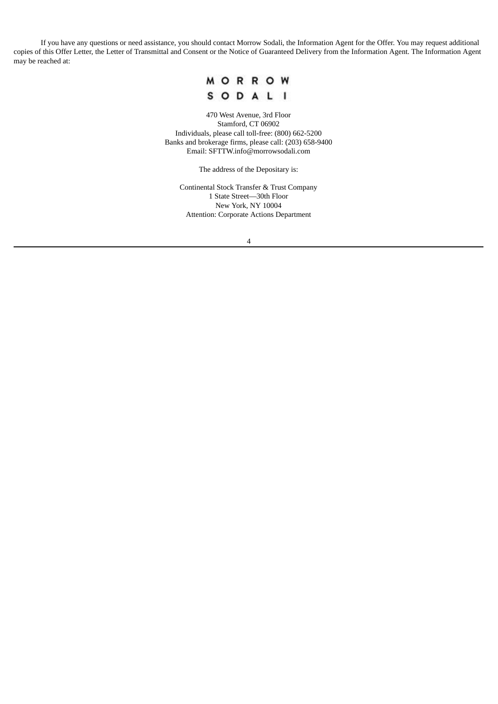If you have any questions or need assistance, you should contact Morrow Sodali, the Information Agent for the Offer. You may request additional copies of this Offer Letter, the Letter of Transmittal and Consent or the Notice of Guaranteed Delivery from the Information Agent. The Information Agent may be reached at:



470 West Avenue, 3rd Floor Stamford, CT 06902 Individuals, please call toll-free: (800) 662-5200 Banks and brokerage firms, please call: (203) 658-9400 Email: SFTTW.info@morrowsodali.com

The address of the Depositary is:

Continental Stock Transfer & Trust Company 1 State Street—30th Floor New York, NY 10004 Attention: Corporate Actions Department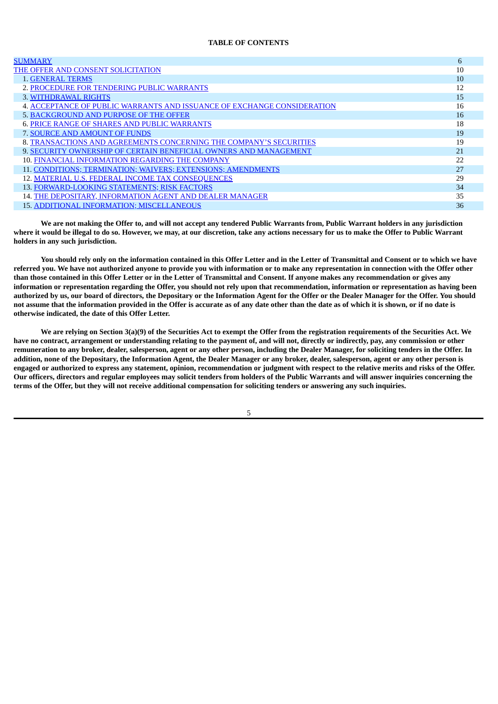## **TABLE OF CONTENTS**

| <b>SUMMARY</b>                                                          | 6  |
|-------------------------------------------------------------------------|----|
| THE OFFER AND CONSENT SOLICITATION                                      | 10 |
| <b>1. GENERAL TERMS</b>                                                 | 10 |
| 2. PROCEDURE FOR TENDERING PUBLIC WARRANTS                              | 12 |
| 3. WITHDRAWAL RIGHTS                                                    | 15 |
| 4. ACCEPTANCE OF PUBLIC WARRANTS AND ISSUANCE OF EXCHANGE CONSIDERATION | 16 |
| 5. BACKGROUND AND PURPOSE OF THE OFFER                                  | 16 |
| <b>6. PRICE RANGE OF SHARES AND PUBLIC WARRANTS</b>                     | 18 |
| 7. SOURCE AND AMOUNT OF FUNDS                                           | 19 |
| 8. TRANSACTIONS AND AGREEMENTS CONCERNING THE COMPANY'S SECURITIES      | 19 |
| 9. SECURITY OWNERSHIP OF CERTAIN BENEFICIAL OWNERS AND MANAGEMENT       | 21 |
| 10. FINANCIAL INFORMATION REGARDING THE COMPANY                         | 22 |
| 11. CONDITIONS; TERMINATION; WAIVERS; EXTENSIONS; AMENDMENTS            | 27 |
| 12. MATERIAL U.S. FEDERAL INCOME TAX CONSEQUENCES                       | 29 |
| 13. FORWARD-LOOKING STATEMENTS; RISK FACTORS                            | 34 |
| 14. THE DEPOSITARY, INFORMATION AGENT AND DEALER MANAGER                | 35 |
| <b>15. ADDITIONAL INFORMATION; MISCELLANEOUS</b>                        | 36 |

We are not making the Offer to, and will not accept any tendered Public Warrants from, Public Warrant holders in any jurisdiction where it would be illegal to do so. However, we may, at our discretion, take any actions necessary for us to make the Offer to Public Warrant **holders in any such jurisdiction.**

You should rely only on the information contained in this Offer Letter and in the Letter of Transmittal and Consent or to which we have referred you. We have not authorized anyone to provide you with information or to make any representation in connection with the Offer other than those contained in this Offer Letter or in the Letter of Transmittal and Consent. If anyone makes any recommendation or gives any information or representation regarding the Offer, you should not rely upon that recommendation, information or representation as having been authorized by us, our board of directors, the Depositary or the Information Agent for the Offer or the Dealer Manager for the Offer. You should not assume that the information provided in the Offer is accurate as of any date other than the date as of which it is shown, or if no date is **otherwise indicated, the date of this Offer Letter.**

We are relying on Section 3(a)(9) of the Securities Act to exempt the Offer from the registration requirements of the Securities Act. We have no contract, arrangement or understanding relating to the payment of, and will not, directly or indirectly, pay, any commission or other remuneration to any broker, dealer, salesperson, agent or any other person, including the Dealer Manager, for soliciting tenders in the Offer. In addition, none of the Depositary, the Information Agent, the Dealer Manager or any broker, dealer, salesperson, agent or any other person is engaged or authorized to express any statement, opinion, recommendation or judgment with respect to the relative merits and risks of the Offer. Our officers, directors and regular employees may solicit tenders from holders of the Public Warrants and will answer inquiries concerning the terms of the Offer, but they will not receive additional compensation for soliciting tenders or answering any such inquiries.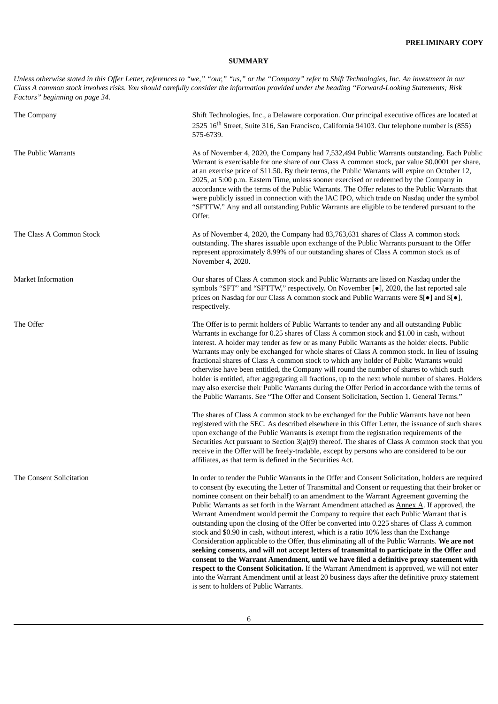# **SUMMARY**

<span id="page-6-0"></span>Unless otherwise stated in this Offer Letter, references to "we," "our," "us," or the "Company" refer to Shift Technologies, Inc. An investment in our Class A common stock involves risks. You should carefully consider the information provided under the heading "Forward-Looking Statements; Risk *Factors" beginning on page 34.*

| The Company               | Shift Technologies, Inc., a Delaware corporation. Our principal executive offices are located at<br>2525 16 <sup>th</sup> Street, Suite 316, San Francisco, California 94103. Our telephone number is (855)<br>575-6739.                                                                                                                                                                                                                                                                                                                                                                                                                                                                                                                                                                                                                                                                                                                                                                                                                                                                                                                                                                                                       |
|---------------------------|--------------------------------------------------------------------------------------------------------------------------------------------------------------------------------------------------------------------------------------------------------------------------------------------------------------------------------------------------------------------------------------------------------------------------------------------------------------------------------------------------------------------------------------------------------------------------------------------------------------------------------------------------------------------------------------------------------------------------------------------------------------------------------------------------------------------------------------------------------------------------------------------------------------------------------------------------------------------------------------------------------------------------------------------------------------------------------------------------------------------------------------------------------------------------------------------------------------------------------|
| The Public Warrants       | As of November 4, 2020, the Company had 7,532,494 Public Warrants outstanding. Each Public<br>Warrant is exercisable for one share of our Class A common stock, par value \$0.0001 per share,<br>at an exercise price of \$11.50. By their terms, the Public Warrants will expire on October 12,<br>2025, at 5:00 p.m. Eastern Time, unless sooner exercised or redeemed by the Company in<br>accordance with the terms of the Public Warrants. The Offer relates to the Public Warrants that<br>were publicly issued in connection with the IAC IPO, which trade on Nasdaq under the symbol<br>"SFTTW." Any and all outstanding Public Warrants are eligible to be tendered pursuant to the<br>Offer.                                                                                                                                                                                                                                                                                                                                                                                                                                                                                                                         |
| The Class A Common Stock  | As of November 4, 2020, the Company had 83,763,631 shares of Class A common stock<br>outstanding. The shares issuable upon exchange of the Public Warrants pursuant to the Offer<br>represent approximately 8.99% of our outstanding shares of Class A common stock as of<br>November 4, 2020.                                                                                                                                                                                                                                                                                                                                                                                                                                                                                                                                                                                                                                                                                                                                                                                                                                                                                                                                 |
| <b>Market Information</b> | Our shares of Class A common stock and Public Warrants are listed on Nasdaq under the<br>symbols "SFT" and "SFTTW," respectively. On November [.], 2020, the last reported sale<br>prices on Nasdaq for our Class A common stock and Public Warrants were $\mathcal{S}[\bullet]$ and $\mathcal{S}[\bullet]$ ,<br>respectively.                                                                                                                                                                                                                                                                                                                                                                                                                                                                                                                                                                                                                                                                                                                                                                                                                                                                                                 |
| The Offer                 | The Offer is to permit holders of Public Warrants to tender any and all outstanding Public<br>Warrants in exchange for 0.25 shares of Class A common stock and \$1.00 in cash, without<br>interest. A holder may tender as few or as many Public Warrants as the holder elects. Public<br>Warrants may only be exchanged for whole shares of Class A common stock. In lieu of issuing<br>fractional shares of Class A common stock to which any holder of Public Warrants would<br>otherwise have been entitled, the Company will round the number of shares to which such<br>holder is entitled, after aggregating all fractions, up to the next whole number of shares. Holders<br>may also exercise their Public Warrants during the Offer Period in accordance with the terms of<br>the Public Warrants. See "The Offer and Consent Solicitation, Section 1. General Terms."                                                                                                                                                                                                                                                                                                                                               |
|                           | The shares of Class A common stock to be exchanged for the Public Warrants have not been<br>registered with the SEC. As described elsewhere in this Offer Letter, the issuance of such shares<br>upon exchange of the Public Warrants is exempt from the registration requirements of the<br>Securities Act pursuant to Section 3(a)(9) thereof. The shares of Class A common stock that you<br>receive in the Offer will be freely-tradable, except by persons who are considered to be our<br>affiliates, as that term is defined in the Securities Act.                                                                                                                                                                                                                                                                                                                                                                                                                                                                                                                                                                                                                                                                     |
| The Consent Solicitation  | In order to tender the Public Warrants in the Offer and Consent Solicitation, holders are required<br>to consent (by executing the Letter of Transmittal and Consent or requesting that their broker or<br>nominee consent on their behalf) to an amendment to the Warrant Agreement governing the<br>Public Warrants as set forth in the Warrant Amendment attached as Annex A. If approved, the<br>Warrant Amendment would permit the Company to require that each Public Warrant that is<br>outstanding upon the closing of the Offer be converted into 0.225 shares of Class A common<br>stock and \$0.90 in cash, without interest, which is a ratio 10% less than the Exchange<br>Consideration applicable to the Offer, thus eliminating all of the Public Warrants. We are not<br>seeking consents, and will not accept letters of transmittal to participate in the Offer and<br>consent to the Warrant Amendment, until we have filed a definitive proxy statement with<br>respect to the Consent Solicitation. If the Warrant Amendment is approved, we will not enter<br>into the Warrant Amendment until at least 20 business days after the definitive proxy statement<br>is sent to holders of Public Warrants. |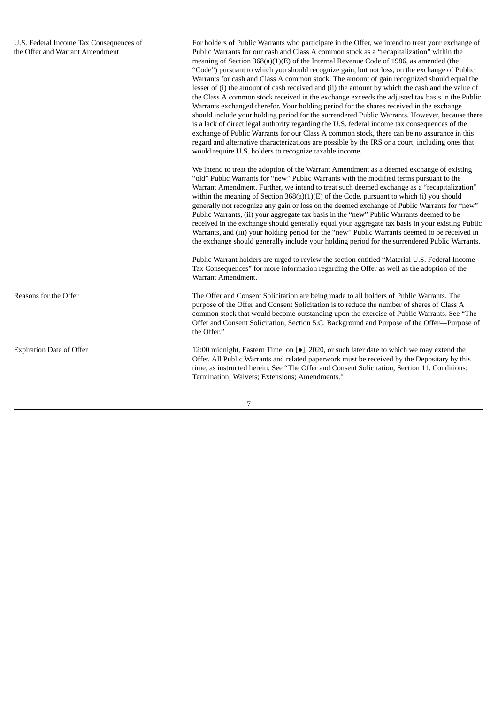For holders of Public Warrants who participate in the Offer, we intend to treat your exchange of Public Warrants for our cash and Class A common stock as a "recapitalization" within the meaning of Section 368(a)(1)(E) of the Internal Revenue Code of 1986, as amended (the "Code") pursuant to which you should recognize gain, but not loss, on the exchange of Public Warrants for cash and Class A common stock. The amount of gain recognized should equal the lesser of (i) the amount of cash received and (ii) the amount by which the cash and the value of the Class A common stock received in the exchange exceeds the adjusted tax basis in the Public Warrants exchanged therefor. Your holding period for the shares received in the exchange should include your holding period for the surrendered Public Warrants. However, because there is a lack of direct legal authority regarding the U.S. federal income tax consequences of the exchange of Public Warrants for our Class A common stock, there can be no assurance in this regard and alternative characterizations are possible by the IRS or a court, including ones that would require U.S. holders to recognize taxable income.

We intend to treat the adoption of the Warrant Amendment as a deemed exchange of existing "old" Public Warrants for "new" Public Warrants with the modified terms pursuant to the Warrant Amendment. Further, we intend to treat such deemed exchange as a "recapitalization" within the meaning of Section 368(a)(1)(E) of the Code, pursuant to which (i) you should generally not recognize any gain or loss on the deemed exchange of Public Warrants for "new" Public Warrants, (ii) your aggregate tax basis in the "new" Public Warrants deemed to be received in the exchange should generally equal your aggregate tax basis in your existing Public Warrants, and (iii) your holding period for the "new" Public Warrants deemed to be received in the exchange should generally include your holding period for the surrendered Public Warrants.

Public Warrant holders are urged to review the section entitled "Material U.S. Federal Income Tax Consequences" for more information regarding the Offer as well as the adoption of the Warrant Amendment.

Reasons for the Offer The Offer The Offer and Consent Solicitation are being made to all holders of Public Warrants. The purpose of the Offer and Consent Solicitation is to reduce the number of shares of Class A common stock that would become outstanding upon the exercise of Public Warrants. See "The Offer and Consent Solicitation, Section 5.C. Background and Purpose of the Offer—Purpose of the Offer."

Expiration Date of Offer 12:00 midnight, Eastern Time, on [●], 2020, or such later date to which we may extend the Offer. All Public Warrants and related paperwork must be received by the Depositary by this time, as instructed herein. See "The Offer and Consent Solicitation, Section 11. Conditions; Termination; Waivers; Extensions; Amendments."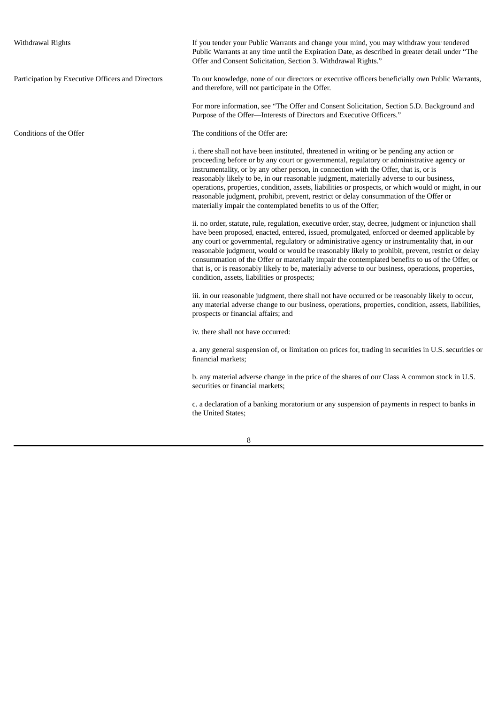| If you tender your Public Warrants and change your mind, you may withdraw your tendered<br>Public Warrants at any time until the Expiration Date, as described in greater detail under "The<br>Offer and Consent Solicitation, Section 3. Withdrawal Rights."                                                                                                                                                                                                                                                                                                                                                                                                       |
|---------------------------------------------------------------------------------------------------------------------------------------------------------------------------------------------------------------------------------------------------------------------------------------------------------------------------------------------------------------------------------------------------------------------------------------------------------------------------------------------------------------------------------------------------------------------------------------------------------------------------------------------------------------------|
| To our knowledge, none of our directors or executive officers beneficially own Public Warrants,<br>and therefore, will not participate in the Offer.                                                                                                                                                                                                                                                                                                                                                                                                                                                                                                                |
| For more information, see "The Offer and Consent Solicitation, Section 5.D. Background and<br>Purpose of the Offer-Interests of Directors and Executive Officers."                                                                                                                                                                                                                                                                                                                                                                                                                                                                                                  |
| The conditions of the Offer are:                                                                                                                                                                                                                                                                                                                                                                                                                                                                                                                                                                                                                                    |
| i. there shall not have been instituted, threatened in writing or be pending any action or<br>proceeding before or by any court or governmental, regulatory or administrative agency or<br>instrumentality, or by any other person, in connection with the Offer, that is, or is<br>reasonably likely to be, in our reasonable judgment, materially adverse to our business,<br>operations, properties, condition, assets, liabilities or prospects, or which would or might, in our<br>reasonable judgment, prohibit, prevent, restrict or delay consummation of the Offer or<br>materially impair the contemplated benefits to us of the Offer;                   |
| ii. no order, statute, rule, regulation, executive order, stay, decree, judgment or injunction shall<br>have been proposed, enacted, entered, issued, promulgated, enforced or deemed applicable by<br>any court or governmental, regulatory or administrative agency or instrumentality that, in our<br>reasonable judgment, would or would be reasonably likely to prohibit, prevent, restrict or delay<br>consummation of the Offer or materially impair the contemplated benefits to us of the Offer, or<br>that is, or is reasonably likely to be, materially adverse to our business, operations, properties,<br>condition, assets, liabilities or prospects; |
| iii. in our reasonable judgment, there shall not have occurred or be reasonably likely to occur,<br>any material adverse change to our business, operations, properties, condition, assets, liabilities,<br>prospects or financial affairs; and                                                                                                                                                                                                                                                                                                                                                                                                                     |
| iv, there shall not have occurred:                                                                                                                                                                                                                                                                                                                                                                                                                                                                                                                                                                                                                                  |
| a. any general suspension of, or limitation on prices for, trading in securities in U.S. securities or<br>financial markets;                                                                                                                                                                                                                                                                                                                                                                                                                                                                                                                                        |
| b. any material adverse change in the price of the shares of our Class A common stock in U.S.<br>securities or financial markets;                                                                                                                                                                                                                                                                                                                                                                                                                                                                                                                                   |
| c. a declaration of a banking moratorium or any suspension of payments in respect to banks in<br>the United States;                                                                                                                                                                                                                                                                                                                                                                                                                                                                                                                                                 |
|                                                                                                                                                                                                                                                                                                                                                                                                                                                                                                                                                                                                                                                                     |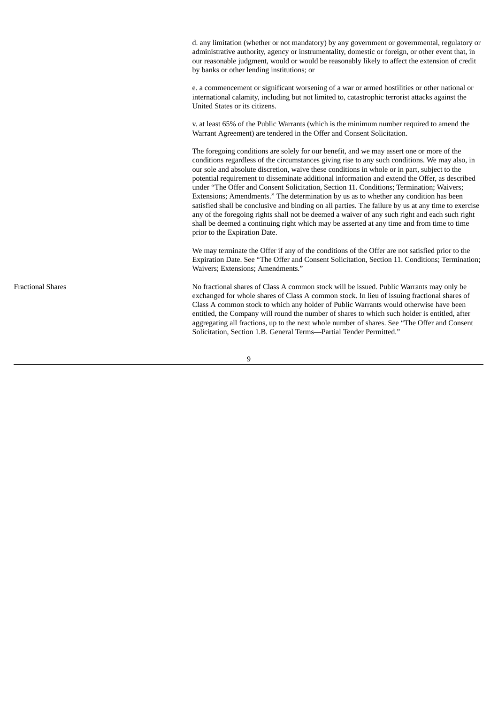d. any limitation (whether or not mandatory) by any government or governmental, regulatory or administrative authority, agency or instrumentality, domestic or foreign, or other event that, in our reasonable judgment, would or would be reasonably likely to affect the extension of credit by banks or other lending institutions; or

e. a commencement or significant worsening of a war or armed hostilities or other national or international calamity, including but not limited to, catastrophic terrorist attacks against the United States or its citizens.

v. at least 65% of the Public Warrants (which is the minimum number required to amend the Warrant Agreement) are tendered in the Offer and Consent Solicitation.

The foregoing conditions are solely for our benefit, and we may assert one or more of the conditions regardless of the circumstances giving rise to any such conditions. We may also, in our sole and absolute discretion, waive these conditions in whole or in part, subject to the potential requirement to disseminate additional information and extend the Offer, as described under "The Offer and Consent Solicitation, Section 11. Conditions; Termination; Waivers; Extensions; Amendments." The determination by us as to whether any condition has been satisfied shall be conclusive and binding on all parties. The failure by us at any time to exercise any of the foregoing rights shall not be deemed a waiver of any such right and each such right shall be deemed a continuing right which may be asserted at any time and from time to time prior to the Expiration Date.

We may terminate the Offer if any of the conditions of the Offer are not satisfied prior to the Expiration Date. See "The Offer and Consent Solicitation, Section 11. Conditions; Termination; Waivers; Extensions; Amendments."

Fractional Shares Tractional shares of Class A common stock will be issued. Public Warrants may only be exchanged for whole shares of Class A common stock. In lieu of issuing fractional shares of Class A common stock to which any holder of Public Warrants would otherwise have been entitled, the Company will round the number of shares to which such holder is entitled, after aggregating all fractions, up to the next whole number of shares. See "The Offer and Consent Solicitation, Section 1.B. General Terms—Partial Tender Permitted."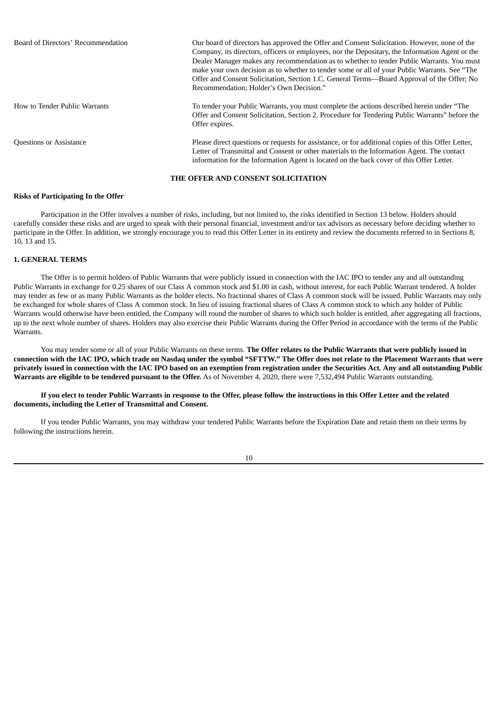| Board of Directors' Recommendation | Our board of directors has approved the Offer and Consent Solicitation. However, none of the<br>Company, its directors, officers or employees, nor the Depositary, the Information Agent or the<br>Dealer Manager makes any recommendation as to whether to tender Public Warrants. You must<br>make your own decision as to whether to tender some or all of your Public Warrants. See "The<br>Offer and Consent Solicitation, Section 1.C. General Terms—Board Approval of the Offer; No<br>Recommendation; Holder's Own Decision." |
|------------------------------------|---------------------------------------------------------------------------------------------------------------------------------------------------------------------------------------------------------------------------------------------------------------------------------------------------------------------------------------------------------------------------------------------------------------------------------------------------------------------------------------------------------------------------------------|
| How to Tender Public Warrants      | To tender your Public Warrants, you must complete the actions described herein under "The<br>Offer and Consent Solicitation, Section 2. Procedure for Tendering Public Warrants" before the<br>Offer expires.                                                                                                                                                                                                                                                                                                                         |
| <b>Questions or Assistance</b>     | Please direct questions or requests for assistance, or for additional copies of this Offer Letter,<br>Letter of Transmittal and Consent or other materials to the Information Agent. The contact<br>information for the Information Agent is located on the back cover of this Offer Letter.                                                                                                                                                                                                                                          |

## **THE OFFER AND CONSENT SOLICITATION**

### <span id="page-10-0"></span>**Risks of Participating In the Offer**

Participation in the Offer involves a number of risks, including, but not limited to, the risks identified in Section 13 below. Holders should carefully consider these risks and are urged to speak with their personal financial, investment and/or tax advisors as necessary before deciding whether to participate in the Offer. In addition, we strongly encourage you to read this Offer Letter in its entirety and review the documents referred to in Sections 8, 10, 13 and 15.

#### <span id="page-10-1"></span>**1. GENERAL TERMS**

The Offer is to permit holders of Public Warrants that were publicly issued in connection with the IAC IPO to tender any and all outstanding Public Warrants in exchange for 0.25 shares of our Class A common stock and \$1.00 in cash, without interest, for each Public Warrant tendered. A holder may tender as few or as many Public Warrants as the holder elects. No fractional shares of Class A common stock will be issued. Public Warrants may only be exchanged for whole shares of Class A common stock. In lieu of issuing fractional shares of Class A common stock to which any holder of Public Warrants would otherwise have been entitled, the Company will round the number of shares to which such holder is entitled, after aggregating all fractions, up to the next whole number of shares. Holders may also exercise their Public Warrants during the Offer Period in accordance with the terms of the Public Warrants.

You may tender some or all of your Public Warrants on these terms. **The Offer relates to the Public Warrants that were publicly issued in** connection with the IAC IPO, which trade on Nasdaq under the symbol "SFTTW." The Offer does not relate to the Placement Warrants that were privately issued in connection with the IAC IPO based on an exemption from registration under the Securities Act. Any and all outstanding Public **Warrants are eligible to be tendered pursuant to the Offer.** As of November 4, 2020, there were 7,532,494 Public Warrants outstanding.

## If you elect to tender Public Warrants in response to the Offer, please follow the instructions in this Offer Letter and the related **documents, including the Letter of Transmittal and Consent.**

If you tender Public Warrants, you may withdraw your tendered Public Warrants before the Expiration Date and retain them on their terms by following the instructions herein.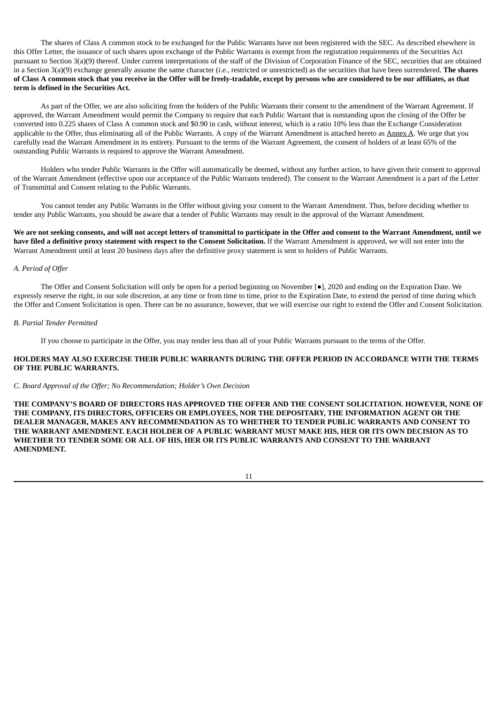The shares of Class A common stock to be exchanged for the Public Warrants have not been registered with the SEC. As described elsewhere in this Offer Letter, the issuance of such shares upon exchange of the Public Warrants is exempt from the registration requirements of the Securities Act pursuant to Section 3(a)(9) thereof. Under current interpretations of the staff of the Division of Corporation Finance of the SEC, securities that are obtained in a Section 3(a)(9) exchange generally assume the same character (*i.e.*, restricted or unrestricted) as the securities that have been surrendered. **The shares** of Class A common stock that you receive in the Offer will be freely-tradable, except by persons who are considered to be our affiliates, as that **term is defined in the Securities Act.**

As part of the Offer, we are also soliciting from the holders of the Public Warrants their consent to the amendment of the Warrant Agreement. If approved, the Warrant Amendment would permit the Company to require that each Public Warrant that is outstanding upon the closing of the Offer be converted into 0.225 shares of Class A common stock and \$0.90 in cash, without interest, which is a ratio 10% less than the Exchange Consideration applicable to the Offer, thus eliminating all of the Public Warrants. A copy of the Warrant Amendment is attached hereto as Annex A. We urge that you carefully read the Warrant Amendment in its entirety. Pursuant to the terms of the Warrant Agreement, the consent of holders of at least 65% of the outstanding Public Warrants is required to approve the Warrant Amendment.

Holders who tender Public Warrants in the Offer will automatically be deemed, without any further action, to have given their consent to approval of the Warrant Amendment (effective upon our acceptance of the Public Warrants tendered). The consent to the Warrant Amendment is a part of the Letter of Transmittal and Consent relating to the Public Warrants.

You cannot tender any Public Warrants in the Offer without giving your consent to the Warrant Amendment. Thus, before deciding whether to tender any Public Warrants, you should be aware that a tender of Public Warrants may result in the approval of the Warrant Amendment.

We are not seeking consents, and will not accept letters of transmittal to participate in the Offer and consent to the Warrant Amendment, until we have filed a definitive proxy statement with respect to the Consent Solicitation. If the Warrant Amendment is approved, we will not enter into the Warrant Amendment until at least 20 business days after the definitive proxy statement is sent to holders of Public Warrants.

## *A. Period of Offer*

The Offer and Consent Solicitation will only be open for a period beginning on November [●], 2020 and ending on the Expiration Date. We expressly reserve the right, in our sole discretion, at any time or from time to time, prior to the Expiration Date, to extend the period of time during which the Offer and Consent Solicitation is open. There can be no assurance, however, that we will exercise our right to extend the Offer and Consent Solicitation.

### *B. Partial Tender Permitted*

If you choose to participate in the Offer, you may tender less than all of your Public Warrants pursuant to the terms of the Offer.

## **HOLDERS MAY ALSO EXERCISE THEIR PUBLIC WARRANTS DURING THE OFFER PERIOD IN ACCORDANCE WITH THE TERMS OF THE PUBLIC WARRANTS.**

#### *C. Board Approval of the Offer; No Recommendation; Holder's Own Decision*

**THE COMPANY'S BOARD OF DIRECTORS HAS APPROVED THE OFFER AND THE CONSENT SOLICITATION. HOWEVER, NONE OF THE COMPANY, ITS DIRECTORS, OFFICERS OR EMPLOYEES, NOR THE DEPOSITARY, THE INFORMATION AGENT OR THE DEALER MANAGER, MAKES ANY RECOMMENDATION AS TO WHETHER TO TENDER PUBLIC WARRANTS AND CONSENT TO** THE WARRANT AMENDMENT. EACH HOLDER OF A PUBLIC WARRANT MUST MAKE HIS, HER OR ITS OWN DECISION AS TO **WHETHER TO TENDER SOME OR ALL OF HIS, HER OR ITS PUBLIC WARRANTS AND CONSENT TO THE WARRANT AMENDMENT.**

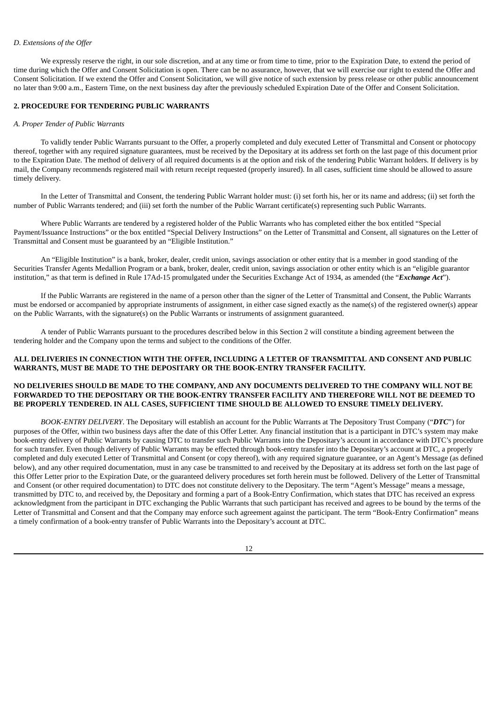# *D. Extensions of the Offer*

We expressly reserve the right, in our sole discretion, and at any time or from time to time, prior to the Expiration Date, to extend the period of time during which the Offer and Consent Solicitation is open. There can be no assurance, however, that we will exercise our right to extend the Offer and Consent Solicitation. If we extend the Offer and Consent Solicitation, we will give notice of such extension by press release or other public announcement no later than 9:00 a.m., Eastern Time, on the next business day after the previously scheduled Expiration Date of the Offer and Consent Solicitation.

## <span id="page-12-0"></span>**2. PROCEDURE FOR TENDERING PUBLIC WARRANTS**

#### *A. Proper Tender of Public Warrants*

To validly tender Public Warrants pursuant to the Offer, a properly completed and duly executed Letter of Transmittal and Consent or photocopy thereof, together with any required signature guarantees, must be received by the Depositary at its address set forth on the last page of this document prior to the Expiration Date. The method of delivery of all required documents is at the option and risk of the tendering Public Warrant holders. If delivery is by mail, the Company recommends registered mail with return receipt requested (properly insured). In all cases, sufficient time should be allowed to assure timely delivery.

In the Letter of Transmittal and Consent, the tendering Public Warrant holder must: (i) set forth his, her or its name and address; (ii) set forth the number of Public Warrants tendered; and (iii) set forth the number of the Public Warrant certificate(s) representing such Public Warrants.

Where Public Warrants are tendered by a registered holder of the Public Warrants who has completed either the box entitled "Special Payment/Issuance Instructions" or the box entitled "Special Delivery Instructions" on the Letter of Transmittal and Consent, all signatures on the Letter of Transmittal and Consent must be guaranteed by an "Eligible Institution."

An "Eligible Institution" is a bank, broker, dealer, credit union, savings association or other entity that is a member in good standing of the Securities Transfer Agents Medallion Program or a bank, broker, dealer, credit union, savings association or other entity which is an "eligible guarantor institution," as that term is defined in Rule 17Ad-15 promulgated under the Securities Exchange Act of 1934, as amended (the "*Exchange Act*").

If the Public Warrants are registered in the name of a person other than the signer of the Letter of Transmittal and Consent, the Public Warrants must be endorsed or accompanied by appropriate instruments of assignment, in either case signed exactly as the name(s) of the registered owner(s) appear on the Public Warrants, with the signature(s) on the Public Warrants or instruments of assignment guaranteed.

A tender of Public Warrants pursuant to the procedures described below in this Section 2 will constitute a binding agreement between the tendering holder and the Company upon the terms and subject to the conditions of the Offer.

## **ALL DELIVERIES IN CONNECTION WITH THE OFFER, INCLUDING A LETTER OF TRANSMITTAL AND CONSENT AND PUBLIC WARRANTS, MUST BE MADE TO THE DEPOSITARY OR THE BOOK-ENTRY TRANSFER FACILITY.**

## NO DELIVERIES SHOULD BE MADE TO THE COMPANY, AND ANY DOCUMENTS DELIVERED TO THE COMPANY WILL NOT BE **FORWARDED TO THE DEPOSITARY OR THE BOOK-ENTRY TRANSFER FACILITY AND THEREFORE WILL NOT BE DEEMED TO BE PROPERLY TENDERED. IN ALL CASES, SUFFICIENT TIME SHOULD BE ALLOWED TO ENSURE TIMELY DELIVERY.**

*BOOK-ENTRY DELIVERY*. The Depositary will establish an account for the Public Warrants at The Depository Trust Company ("*DTC*") for purposes of the Offer, within two business days after the date of this Offer Letter. Any financial institution that is a participant in DTC's system may make book-entry delivery of Public Warrants by causing DTC to transfer such Public Warrants into the Depositary's account in accordance with DTC's procedure for such transfer. Even though delivery of Public Warrants may be effected through book-entry transfer into the Depositary's account at DTC, a properly completed and duly executed Letter of Transmittal and Consent (or copy thereof), with any required signature guarantee, or an Agent's Message (as defined below), and any other required documentation, must in any case be transmitted to and received by the Depositary at its address set forth on the last page of this Offer Letter prior to the Expiration Date, or the guaranteed delivery procedures set forth herein must be followed. Delivery of the Letter of Transmittal and Consent (or other required documentation) to DTC does not constitute delivery to the Depositary. The term "Agent's Message" means a message, transmitted by DTC to, and received by, the Depositary and forming a part of a Book-Entry Confirmation, which states that DTC has received an express acknowledgment from the participant in DTC exchanging the Public Warrants that such participant has received and agrees to be bound by the terms of the Letter of Transmittal and Consent and that the Company may enforce such agreement against the participant. The term "Book-Entry Confirmation" means a timely confirmation of a book-entry transfer of Public Warrants into the Depositary's account at DTC.

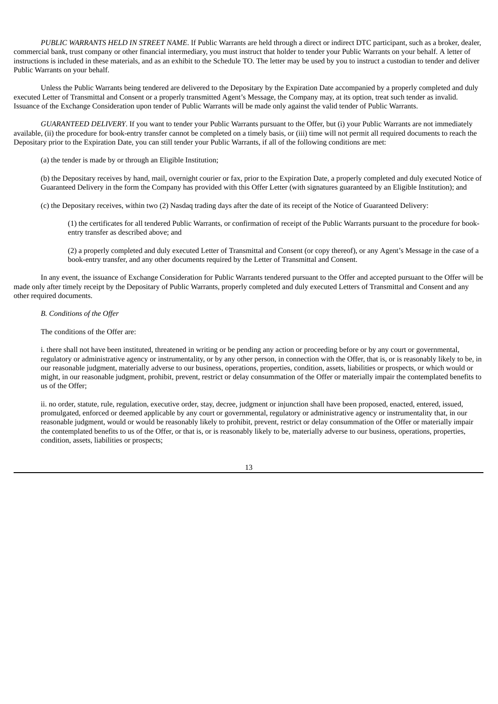*PUBLIC WARRANTS HELD IN STREET NAME*. If Public Warrants are held through a direct or indirect DTC participant, such as a broker, dealer, commercial bank, trust company or other financial intermediary, you must instruct that holder to tender your Public Warrants on your behalf. A letter of instructions is included in these materials, and as an exhibit to the Schedule TO. The letter may be used by you to instruct a custodian to tender and deliver Public Warrants on your behalf.

Unless the Public Warrants being tendered are delivered to the Depositary by the Expiration Date accompanied by a properly completed and duly executed Letter of Transmittal and Consent or a properly transmitted Agent's Message, the Company may, at its option, treat such tender as invalid. Issuance of the Exchange Consideration upon tender of Public Warrants will be made only against the valid tender of Public Warrants.

*GUARANTEED DELIVERY*. If you want to tender your Public Warrants pursuant to the Offer, but (i) your Public Warrants are not immediately available, (ii) the procedure for book-entry transfer cannot be completed on a timely basis, or (iii) time will not permit all required documents to reach the Depositary prior to the Expiration Date, you can still tender your Public Warrants, if all of the following conditions are met:

(a) the tender is made by or through an Eligible Institution;

(b) the Depositary receives by hand, mail, overnight courier or fax, prior to the Expiration Date, a properly completed and duly executed Notice of Guaranteed Delivery in the form the Company has provided with this Offer Letter (with signatures guaranteed by an Eligible Institution); and

(c) the Depositary receives, within two (2) Nasdaq trading days after the date of its receipt of the Notice of Guaranteed Delivery:

(1) the certificates for all tendered Public Warrants, or confirmation of receipt of the Public Warrants pursuant to the procedure for bookentry transfer as described above; and

(2) a properly completed and duly executed Letter of Transmittal and Consent (or copy thereof), or any Agent's Message in the case of a book-entry transfer, and any other documents required by the Letter of Transmittal and Consent.

In any event, the issuance of Exchange Consideration for Public Warrants tendered pursuant to the Offer and accepted pursuant to the Offer will be made only after timely receipt by the Depositary of Public Warrants, properly completed and duly executed Letters of Transmittal and Consent and any other required documents.

## *B. Conditions of the Offer*

The conditions of the Offer are:

i. there shall not have been instituted, threatened in writing or be pending any action or proceeding before or by any court or governmental, regulatory or administrative agency or instrumentality, or by any other person, in connection with the Offer, that is, or is reasonably likely to be, in our reasonable judgment, materially adverse to our business, operations, properties, condition, assets, liabilities or prospects, or which would or might, in our reasonable judgment, prohibit, prevent, restrict or delay consummation of the Offer or materially impair the contemplated benefits to us of the Offer;

ii. no order, statute, rule, regulation, executive order, stay, decree, judgment or injunction shall have been proposed, enacted, entered, issued, promulgated, enforced or deemed applicable by any court or governmental, regulatory or administrative agency or instrumentality that, in our reasonable judgment, would or would be reasonably likely to prohibit, prevent, restrict or delay consummation of the Offer or materially impair the contemplated benefits to us of the Offer, or that is, or is reasonably likely to be, materially adverse to our business, operations, properties, condition, assets, liabilities or prospects;

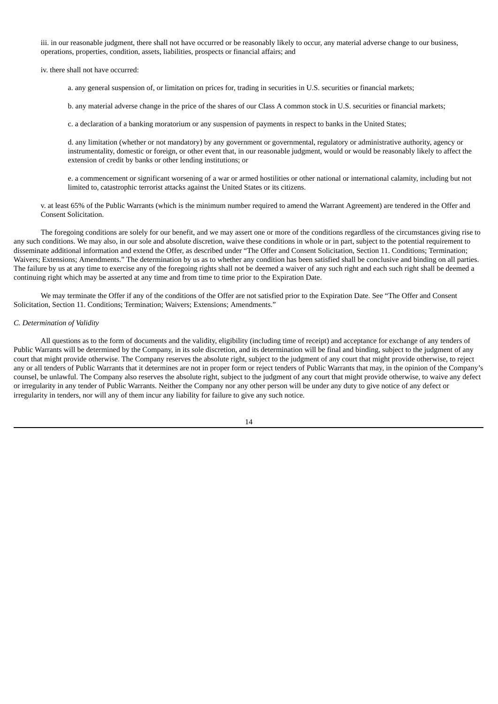iii. in our reasonable judgment, there shall not have occurred or be reasonably likely to occur, any material adverse change to our business, operations, properties, condition, assets, liabilities, prospects or financial affairs; and

iv. there shall not have occurred:

a. any general suspension of, or limitation on prices for, trading in securities in U.S. securities or financial markets;

b. any material adverse change in the price of the shares of our Class A common stock in U.S. securities or financial markets;

c. a declaration of a banking moratorium or any suspension of payments in respect to banks in the United States;

d. any limitation (whether or not mandatory) by any government or governmental, regulatory or administrative authority, agency or instrumentality, domestic or foreign, or other event that, in our reasonable judgment, would or would be reasonably likely to affect the extension of credit by banks or other lending institutions; or

e. a commencement or significant worsening of a war or armed hostilities or other national or international calamity, including but not limited to, catastrophic terrorist attacks against the United States or its citizens.

v. at least 65% of the Public Warrants (which is the minimum number required to amend the Warrant Agreement) are tendered in the Offer and Consent Solicitation.

The foregoing conditions are solely for our benefit, and we may assert one or more of the conditions regardless of the circumstances giving rise to any such conditions. We may also, in our sole and absolute discretion, waive these conditions in whole or in part, subject to the potential requirement to disseminate additional information and extend the Offer, as described under "The Offer and Consent Solicitation, Section 11. Conditions; Termination; Waivers; Extensions; Amendments." The determination by us as to whether any condition has been satisfied shall be conclusive and binding on all parties. The failure by us at any time to exercise any of the foregoing rights shall not be deemed a waiver of any such right and each such right shall be deemed a continuing right which may be asserted at any time and from time to time prior to the Expiration Date.

We may terminate the Offer if any of the conditions of the Offer are not satisfied prior to the Expiration Date. See "The Offer and Consent Solicitation, Section 11. Conditions; Termination; Waivers; Extensions; Amendments."

#### *C. Determination of Validity*

All questions as to the form of documents and the validity, eligibility (including time of receipt) and acceptance for exchange of any tenders of Public Warrants will be determined by the Company, in its sole discretion, and its determination will be final and binding, subject to the judgment of any court that might provide otherwise. The Company reserves the absolute right, subject to the judgment of any court that might provide otherwise, to reject any or all tenders of Public Warrants that it determines are not in proper form or reject tenders of Public Warrants that may, in the opinion of the Company's counsel, be unlawful. The Company also reserves the absolute right, subject to the judgment of any court that might provide otherwise, to waive any defect or irregularity in any tender of Public Warrants. Neither the Company nor any other person will be under any duty to give notice of any defect or irregularity in tenders, nor will any of them incur any liability for failure to give any such notice.

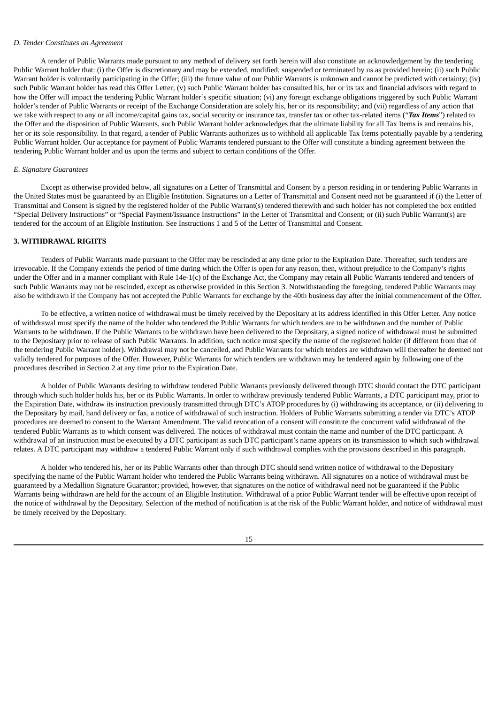#### *D. Tender Constitutes an Agreement*

A tender of Public Warrants made pursuant to any method of delivery set forth herein will also constitute an acknowledgement by the tendering Public Warrant holder that: (i) the Offer is discretionary and may be extended, modified, suspended or terminated by us as provided herein; (ii) such Public Warrant holder is voluntarily participating in the Offer; (iii) the future value of our Public Warrants is unknown and cannot be predicted with certainty; (iv) such Public Warrant holder has read this Offer Letter; (v) such Public Warrant holder has consulted his, her or its tax and financial advisors with regard to how the Offer will impact the tendering Public Warrant holder's specific situation; (vi) any foreign exchange obligations triggered by such Public Warrant holder's tender of Public Warrants or receipt of the Exchange Consideration are solely his, her or its responsibility; and (vii) regardless of any action that we take with respect to any or all income/capital gains tax, social security or insurance tax, transfer tax or other tax-related items ("*Tax Items*") related to the Offer and the disposition of Public Warrants, such Public Warrant holder acknowledges that the ultimate liability for all Tax Items is and remains his, her or its sole responsibility. In that regard, a tender of Public Warrants authorizes us to withhold all applicable Tax Items potentially payable by a tendering Public Warrant holder. Our acceptance for payment of Public Warrants tendered pursuant to the Offer will constitute a binding agreement between the tendering Public Warrant holder and us upon the terms and subject to certain conditions of the Offer.

#### *E. Signature Guarantees*

Except as otherwise provided below, all signatures on a Letter of Transmittal and Consent by a person residing in or tendering Public Warrants in the United States must be guaranteed by an Eligible Institution. Signatures on a Letter of Transmittal and Consent need not be guaranteed if (i) the Letter of Transmittal and Consent is signed by the registered holder of the Public Warrant(s) tendered therewith and such holder has not completed the box entitled "Special Delivery Instructions" or "Special Payment/Issuance Instructions" in the Letter of Transmittal and Consent; or (ii) such Public Warrant(s) are tendered for the account of an Eligible Institution. See Instructions 1 and 5 of the Letter of Transmittal and Consent.

#### <span id="page-15-0"></span>**3. WITHDRAWAL RIGHTS**

Tenders of Public Warrants made pursuant to the Offer may be rescinded at any time prior to the Expiration Date. Thereafter, such tenders are irrevocable. If the Company extends the period of time during which the Offer is open for any reason, then, without prejudice to the Company's rights under the Offer and in a manner compliant with Rule 14e-1(c) of the Exchange Act, the Company may retain all Public Warrants tendered and tenders of such Public Warrants may not be rescinded, except as otherwise provided in this Section 3. Notwithstanding the foregoing, tendered Public Warrants may also be withdrawn if the Company has not accepted the Public Warrants for exchange by the 40th business day after the initial commencement of the Offer.

To be effective, a written notice of withdrawal must be timely received by the Depositary at its address identified in this Offer Letter. Any notice of withdrawal must specify the name of the holder who tendered the Public Warrants for which tenders are to be withdrawn and the number of Public Warrants to be withdrawn. If the Public Warrants to be withdrawn have been delivered to the Depositary, a signed notice of withdrawal must be submitted to the Depositary prior to release of such Public Warrants. In addition, such notice must specify the name of the registered holder (if different from that of the tendering Public Warrant holder). Withdrawal may not be cancelled, and Public Warrants for which tenders are withdrawn will thereafter be deemed not validly tendered for purposes of the Offer. However, Public Warrants for which tenders are withdrawn may be tendered again by following one of the procedures described in Section 2 at any time prior to the Expiration Date.

A holder of Public Warrants desiring to withdraw tendered Public Warrants previously delivered through DTC should contact the DTC participant through which such holder holds his, her or its Public Warrants. In order to withdraw previously tendered Public Warrants, a DTC participant may, prior to the Expiration Date, withdraw its instruction previously transmitted through DTC's ATOP procedures by (i) withdrawing its acceptance, or (ii) delivering to the Depositary by mail, hand delivery or fax, a notice of withdrawal of such instruction. Holders of Public Warrants submitting a tender via DTC's ATOP procedures are deemed to consent to the Warrant Amendment. The valid revocation of a consent will constitute the concurrent valid withdrawal of the tendered Public Warrants as to which consent was delivered. The notices of withdrawal must contain the name and number of the DTC participant. A withdrawal of an instruction must be executed by a DTC participant as such DTC participant's name appears on its transmission to which such withdrawal relates. A DTC participant may withdraw a tendered Public Warrant only if such withdrawal complies with the provisions described in this paragraph.

A holder who tendered his, her or its Public Warrants other than through DTC should send written notice of withdrawal to the Depositary specifying the name of the Public Warrant holder who tendered the Public Warrants being withdrawn. All signatures on a notice of withdrawal must be guaranteed by a Medallion Signature Guarantor; provided, however, that signatures on the notice of withdrawal need not be guaranteed if the Public Warrants being withdrawn are held for the account of an Eligible Institution. Withdrawal of a prior Public Warrant tender will be effective upon receipt of the notice of withdrawal by the Depositary. Selection of the method of notification is at the risk of the Public Warrant holder, and notice of withdrawal must be timely received by the Depositary.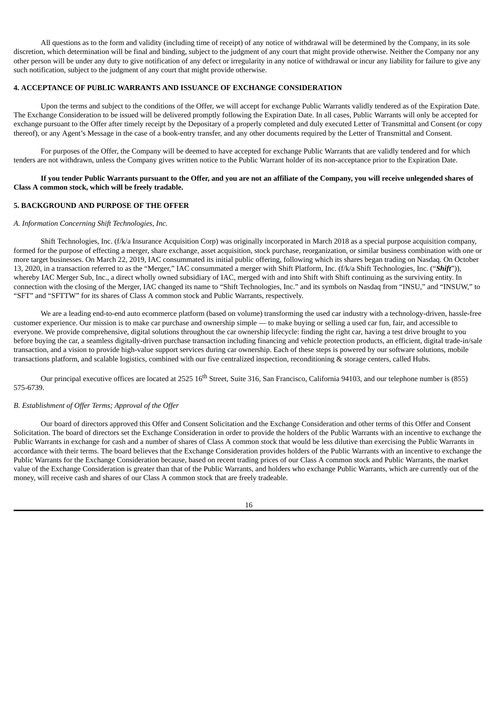All questions as to the form and validity (including time of receipt) of any notice of withdrawal will be determined by the Company, in its sole discretion, which determination will be final and binding, subject to the judgment of any court that might provide otherwise. Neither the Company nor any other person will be under any duty to give notification of any defect or irregularity in any notice of withdrawal or incur any liability for failure to give any such notification, subject to the judgment of any court that might provide otherwise.

# <span id="page-16-0"></span>**4. ACCEPTANCE OF PUBLIC WARRANTS AND ISSUANCE OF EXCHANGE CONSIDERATION**

Upon the terms and subject to the conditions of the Offer, we will accept for exchange Public Warrants validly tendered as of the Expiration Date. The Exchange Consideration to be issued will be delivered promptly following the Expiration Date. In all cases, Public Warrants will only be accepted for exchange pursuant to the Offer after timely receipt by the Depositary of a properly completed and duly executed Letter of Transmittal and Consent (or copy thereof), or any Agent's Message in the case of a book-entry transfer, and any other documents required by the Letter of Transmittal and Consent.

For purposes of the Offer, the Company will be deemed to have accepted for exchange Public Warrants that are validly tendered and for which tenders are not withdrawn, unless the Company gives written notice to the Public Warrant holder of its non-acceptance prior to the Expiration Date.

If you tender Public Warrants pursuant to the Offer, and you are not an affiliate of the Company, you will receive unlegended shares of **Class A common stock, which will be freely tradable.**

## <span id="page-16-1"></span>**5. BACKGROUND AND PURPOSE OF THE OFFER**

## *A. Information Concerning Shift Technologies, Inc.*

Shift Technologies, Inc. (f/k/a Insurance Acquisition Corp) was originally incorporated in March 2018 as a special purpose acquisition company, formed for the purpose of effecting a merger, share exchange, asset acquisition, stock purchase, reorganization, or similar business combination with one or more target businesses. On March 22, 2019, IAC consummated its initial public offering, following which its shares began trading on Nasdaq. On October 13, 2020, in a transaction referred to as the "Merger," IAC consummated a merger with Shift Platform, Inc. (f/k/a Shift Technologies, Inc. ("*Shift*")), whereby IAC Merger Sub, Inc., a direct wholly owned subsidiary of IAC, merged with and into Shift with Shift continuing as the surviving entity. In connection with the closing of the Merger, IAC changed its name to "Shift Technologies, Inc." and its symbols on Nasdaq from "INSU," and "INSUW," to "SFT" and "SFTTW" for its shares of Class A common stock and Public Warrants, respectively.

We are a leading end-to-end auto ecommerce platform (based on volume) transforming the used car industry with a technology-driven, hassle-free customer experience. Our mission is to make car purchase and ownership simple — to make buying or selling a used car fun, fair, and accessible to everyone. We provide comprehensive, digital solutions throughout the car ownership lifecycle: finding the right car, having a test drive brought to you before buying the car, a seamless digitally-driven purchase transaction including financing and vehicle protection products, an efficient, digital trade-in/sale transaction, and a vision to provide high-value support services during car ownership. Each of these steps is powered by our software solutions, mobile transactions platform, and scalable logistics, combined with our five centralized inspection, reconditioning & storage centers, called Hubs.

Our principal executive offices are located at 2525 16<sup>th</sup> Street, Suite 316, San Francisco, California 94103, and our telephone number is (855) 575-6739.

#### *B. Establishment of Offer Terms; Approval of the Offer*

Our board of directors approved this Offer and Consent Solicitation and the Exchange Consideration and other terms of this Offer and Consent Solicitation. The board of directors set the Exchange Consideration in order to provide the holders of the Public Warrants with an incentive to exchange the Public Warrants in exchange for cash and a number of shares of Class A common stock that would be less dilutive than exercising the Public Warrants in accordance with their terms. The board believes that the Exchange Consideration provides holders of the Public Warrants with an incentive to exchange the Public Warrants for the Exchange Consideration because, based on recent trading prices of our Class A common stock and Public Warrants, the market value of the Exchange Consideration is greater than that of the Public Warrants, and holders who exchange Public Warrants, which are currently out of the money, will receive cash and shares of our Class A common stock that are freely tradeable.

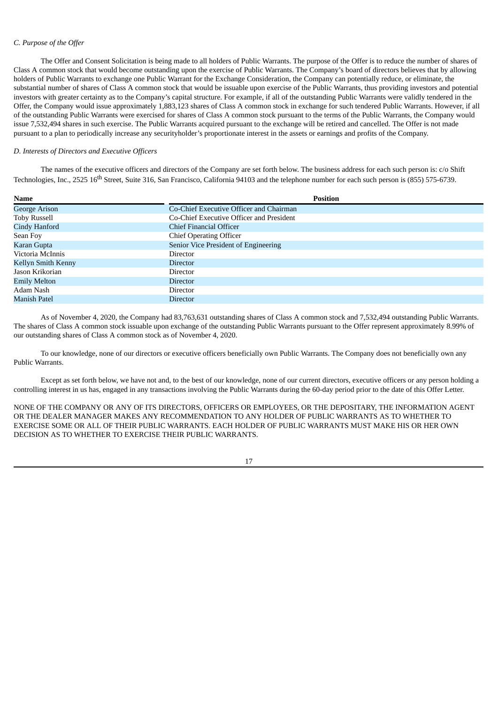# *C. Purpose of the Offer*

The Offer and Consent Solicitation is being made to all holders of Public Warrants. The purpose of the Offer is to reduce the number of shares of Class A common stock that would become outstanding upon the exercise of Public Warrants. The Company's board of directors believes that by allowing holders of Public Warrants to exchange one Public Warrant for the Exchange Consideration, the Company can potentially reduce, or eliminate, the substantial number of shares of Class A common stock that would be issuable upon exercise of the Public Warrants, thus providing investors and potential investors with greater certainty as to the Company's capital structure. For example, if all of the outstanding Public Warrants were validly tendered in the Offer, the Company would issue approximately 1,883,123 shares of Class A common stock in exchange for such tendered Public Warrants. However, if all of the outstanding Public Warrants were exercised for shares of Class A common stock pursuant to the terms of the Public Warrants, the Company would issue 7,532,494 shares in such exercise. The Public Warrants acquired pursuant to the exchange will be retired and cancelled. The Offer is not made pursuant to a plan to periodically increase any securityholder's proportionate interest in the assets or earnings and profits of the Company.

## *D. Interests of Directors and Executive Officers*

The names of the executive officers and directors of the Company are set forth below. The business address for each such person is: c/o Shift Technologies, Inc., 2525 16<sup>th</sup> Street, Suite 316, San Francisco, California 94103 and the telephone number for each such person is (855) 575-6739.

| <b>Name</b>          | <b>Position</b>                          |
|----------------------|------------------------------------------|
| <b>George Arison</b> | Co-Chief Executive Officer and Chairman  |
| Toby Russell         | Co-Chief Executive Officer and President |
| Cindy Hanford        | Chief Financial Officer                  |
| Sean Foy             | <b>Chief Operating Officer</b>           |
| Karan Gupta          | Senior Vice President of Engineering     |
| Victoria McInnis     | Director                                 |
| Kellyn Smith Kenny   | <b>Director</b>                          |
| Jason Krikorian      | Director                                 |
| <b>Emily Melton</b>  | <b>Director</b>                          |
| Adam Nash            | Director                                 |
| Manish Patel         | <b>Director</b>                          |

As of November 4, 2020, the Company had 83,763,631 outstanding shares of Class A common stock and 7,532,494 outstanding Public Warrants. The shares of Class A common stock issuable upon exchange of the outstanding Public Warrants pursuant to the Offer represent approximately 8.99% of our outstanding shares of Class A common stock as of November 4, 2020.

To our knowledge, none of our directors or executive officers beneficially own Public Warrants. The Company does not beneficially own any Public Warrants.

Except as set forth below, we have not and, to the best of our knowledge, none of our current directors, executive officers or any person holding a controlling interest in us has, engaged in any transactions involving the Public Warrants during the 60-day period prior to the date of this Offer Letter.

NONE OF THE COMPANY OR ANY OF ITS DIRECTORS, OFFICERS OR EMPLOYEES, OR THE DEPOSITARY, THE INFORMATION AGENT OR THE DEALER MANAGER MAKES ANY RECOMMENDATION TO ANY HOLDER OF PUBLIC WARRANTS AS TO WHETHER TO EXERCISE SOME OR ALL OF THEIR PUBLIC WARRANTS. EACH HOLDER OF PUBLIC WARRANTS MUST MAKE HIS OR HER OWN DECISION AS TO WHETHER TO EXERCISE THEIR PUBLIC WARRANTS.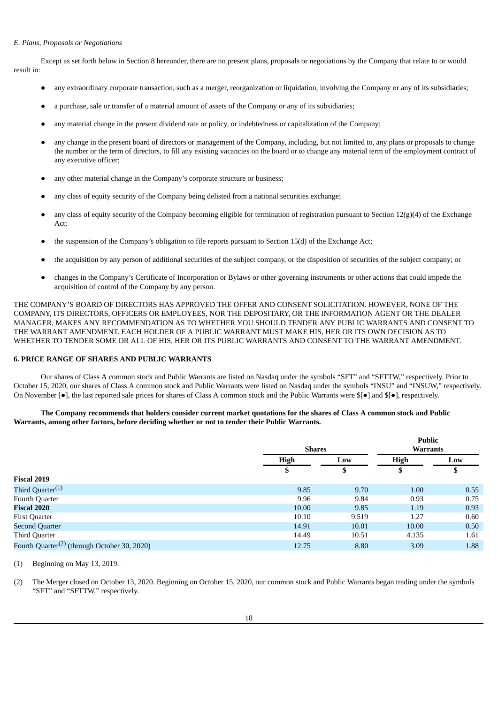## *E. Plans, Proposals or Negotiations*

Except as set forth below in Section 8 hereunder, there are no present plans, proposals or negotiations by the Company that relate to or would result in:

- any extraordinary corporate transaction, such as a merger, reorganization or liquidation, involving the Company or any of its subsidiaries;
- a purchase, sale or transfer of a material amount of assets of the Company or any of its subsidiaries;
- any material change in the present dividend rate or policy, or indebtedness or capitalization of the Company;
- any change in the present board of directors or management of the Company, including, but not limited to, any plans or proposals to change the number or the term of directors, to fill any existing vacancies on the board or to change any material term of the employment contract of any executive officer;
- any other material change in the Company's corporate structure or business;
- any class of equity security of the Company being delisted from a national securities exchange;
- any class of equity security of the Company becoming eligible for termination of registration pursuant to Section  $12(g)(4)$  of the Exchange Act;
- the suspension of the Company's obligation to file reports pursuant to Section 15(d) of the Exchange Act;
- the acquisition by any person of additional securities of the subject company, or the disposition of securities of the subject company; or
- changes in the Company's Certificate of Incorporation or Bylaws or other governing instruments or other actions that could impede the acquisition of control of the Company by any person.

THE COMPANY'S BOARD OF DIRECTORS HAS APPROVED THE OFFER AND CONSENT SOLICITATION. HOWEVER, NONE OF THE COMPANY, ITS DIRECTORS, OFFICERS OR EMPLOYEES, NOR THE DEPOSITARY, OR THE INFORMATION AGENT OR THE DEALER MANAGER, MAKES ANY RECOMMENDATION AS TO WHETHER YOU SHOULD TENDER ANY PUBLIC WARRANTS AND CONSENT TO THE WARRANT AMENDMENT. EACH HOLDER OF A PUBLIC WARRANT MUST MAKE HIS, HER OR ITS OWN DECISION AS TO WHETHER TO TENDER SOME OR ALL OF HIS, HER OR ITS PUBLIC WARRANTS AND CONSENT TO THE WARRANT AMENDMENT.

#### <span id="page-18-0"></span>**6. PRICE RANGE OF SHARES AND PUBLIC WARRANTS**

Our shares of Class A common stock and Public Warrants are listed on Nasdaq under the symbols "SFT" and "SFTTW," respectively. Prior to October 15, 2020, our shares of Class A common stock and Public Warrants were listed on Nasdaq under the symbols "INSU" and "INSUW," respectively. On November [●], the last reported sale prices for shares of Class A common stock and the Public Warrants were \$[●] and \$[●], respectively.

#### The Company recommends that holders consider current market quotations for the shares of Class A common stock and Public **Warrants, among other factors, before deciding whether or not to tender their Public Warrants.**

|                                                          |             | <b>Shares</b> |             | <b>Public</b><br><b>Warrants</b> |  |
|----------------------------------------------------------|-------------|---------------|-------------|----------------------------------|--|
|                                                          | <b>High</b> | Low           | <b>High</b> | Low                              |  |
|                                                          | S           | \$            |             | \$                               |  |
| Fiscal 2019                                              |             |               |             |                                  |  |
| Third Quarter <sup>(1)</sup>                             | 9.85        | 9.70          | 1.00        | 0.55                             |  |
| Fourth Quarter                                           | 9.96        | 9.84          | 0.93        | 0.75                             |  |
| <b>Fiscal 2020</b>                                       | 10.00       | 9.85          | 1.19        | 0.93                             |  |
| <b>First Quarter</b>                                     | 10.10       | 9.519         | 1.27        | 0.60                             |  |
| <b>Second Quarter</b>                                    | 14.91       | 10.01         | 10.00       | 0.50                             |  |
| Third Quarter                                            | 14.49       | 10.51         | 4.135       | 1.61                             |  |
| Fourth Quarter <sup>(2)</sup> (through October 30, 2020) | 12.75       | 8.80          | 3.09        | 1.88                             |  |

(1) Beginning on May 13, 2019.

(2) The Merger closed on October 13, 2020. Beginning on October 15, 2020, our common stock and Public Warrants began trading under the symbols "SFT" and "SFTTW," respectively.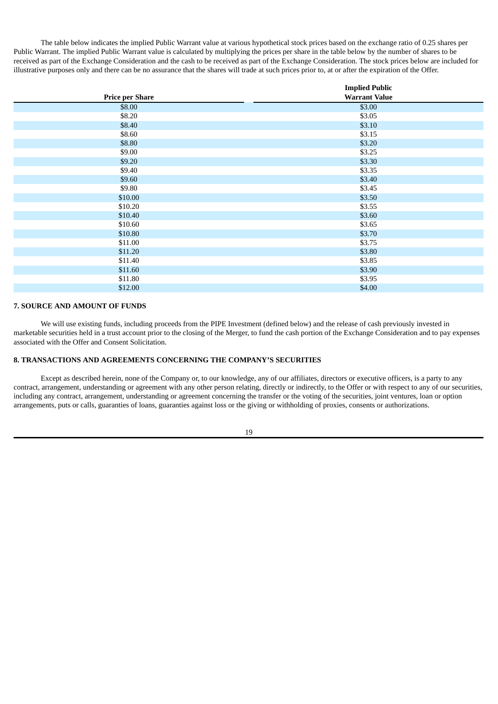The table below indicates the implied Public Warrant value at various hypothetical stock prices based on the exchange ratio of 0.25 shares per Public Warrant. The implied Public Warrant value is calculated by multiplying the prices per share in the table below by the number of shares to be received as part of the Exchange Consideration and the cash to be received as part of the Exchange Consideration. The stock prices below are included for illustrative purposes only and there can be no assurance that the shares will trade at such prices prior to, at or after the expiration of the Offer.

|                        | <b>Implied Public</b> |
|------------------------|-----------------------|
| <b>Price per Share</b> | <b>Warrant Value</b>  |
| \$8.00                 | \$3.00                |
| \$8.20                 | \$3.05                |
| \$8.40                 | \$3.10                |
| \$8.60                 | \$3.15                |
| \$8.80                 | \$3.20                |
| \$9.00                 | \$3.25                |
| \$9.20                 | \$3.30                |
| \$9.40                 | \$3.35                |
| \$9.60                 | \$3.40                |
| \$9.80                 | \$3.45                |
| \$10.00                | \$3.50                |
| \$10.20                | \$3.55                |
| \$10.40                | \$3.60                |
| \$10.60                | \$3.65                |
| \$10.80                | \$3.70                |
| \$11.00                | \$3.75                |
| \$11.20                | \$3.80                |
| \$11.40                | \$3.85                |
| \$11.60                | \$3.90                |
| \$11.80                | \$3.95                |
| \$12.00                | \$4.00                |
|                        |                       |

# <span id="page-19-0"></span>**7. SOURCE AND AMOUNT OF FUNDS**

We will use existing funds, including proceeds from the PIPE Investment (defined below) and the release of cash previously invested in marketable securities held in a trust account prior to the closing of the Merger, to fund the cash portion of the Exchange Consideration and to pay expenses associated with the Offer and Consent Solicitation.

## <span id="page-19-1"></span>**8. TRANSACTIONS AND AGREEMENTS CONCERNING THE COMPANY'S SECURITIES**

Except as described herein, none of the Company or, to our knowledge, any of our affiliates, directors or executive officers, is a party to any contract, arrangement, understanding or agreement with any other person relating, directly or indirectly, to the Offer or with respect to any of our securities, including any contract, arrangement, understanding or agreement concerning the transfer or the voting of the securities, joint ventures, loan or option arrangements, puts or calls, guaranties of loans, guaranties against loss or the giving or withholding of proxies, consents or authorizations.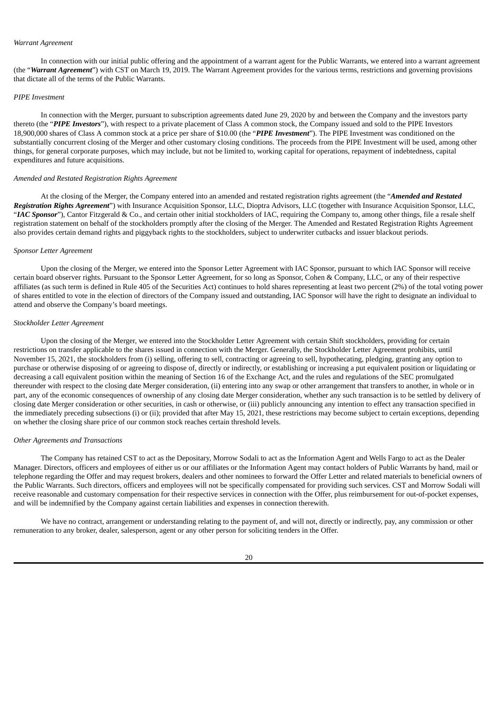#### *Warrant Agreement*

In connection with our initial public offering and the appointment of a warrant agent for the Public Warrants, we entered into a warrant agreement (the "*Warrant Agreement*") with CST on March 19, 2019. The Warrant Agreement provides for the various terms, restrictions and governing provisions that dictate all of the terms of the Public Warrants.

#### *PIPE Investment*

In connection with the Merger, pursuant to subscription agreements dated June 29, 2020 by and between the Company and the investors party thereto (the "*PIPE Investors*"), with respect to a private placement of Class A common stock, the Company issued and sold to the PIPE Investors 18,900,000 shares of Class A common stock at a price per share of \$10.00 (the "*PIPE Investment*"). The PIPE Investment was conditioned on the substantially concurrent closing of the Merger and other customary closing conditions. The proceeds from the PIPE Investment will be used, among other things, for general corporate purposes, which may include, but not be limited to, working capital for operations, repayment of indebtedness, capital expenditures and future acquisitions.

#### *Amended and Restated Registration Rights Agreement*

At the closing of the Merger, the Company entered into an amended and restated registration rights agreement (the "*Amended and Restated Registration Rights Agreement*") with Insurance Acquisition Sponsor, LLC, Dioptra Advisors, LLC (together with Insurance Acquisition Sponsor, LLC, "IAC Sponsor"), Cantor Fitzgerald & Co., and certain other initial stockholders of IAC, requiring the Company to, among other things, file a resale shelf registration statement on behalf of the stockholders promptly after the closing of the Merger. The Amended and Restated Registration Rights Agreement also provides certain demand rights and piggyback rights to the stockholders, subject to underwriter cutbacks and issuer blackout periods.

#### *Sponsor Letter Agreement*

Upon the closing of the Merger, we entered into the Sponsor Letter Agreement with IAC Sponsor, pursuant to which IAC Sponsor will receive certain board observer rights. Pursuant to the Sponsor Letter Agreement, for so long as Sponsor, Cohen & Company, LLC, or any of their respective affiliates (as such term is defined in Rule 405 of the Securities Act) continues to hold shares representing at least two percent (2%) of the total voting power of shares entitled to vote in the election of directors of the Company issued and outstanding, IAC Sponsor will have the right to designate an individual to attend and observe the Company's board meetings.

#### *Stockholder Letter Agreement*

Upon the closing of the Merger, we entered into the Stockholder Letter Agreement with certain Shift stockholders, providing for certain restrictions on transfer applicable to the shares issued in connection with the Merger. Generally, the Stockholder Letter Agreement prohibits, until November 15, 2021, the stockholders from (i) selling, offering to sell, contracting or agreeing to sell, hypothecating, pledging, granting any option to purchase or otherwise disposing of or agreeing to dispose of, directly or indirectly, or establishing or increasing a put equivalent position or liquidating or decreasing a call equivalent position within the meaning of Section 16 of the Exchange Act, and the rules and regulations of the SEC promulgated thereunder with respect to the closing date Merger consideration, (ii) entering into any swap or other arrangement that transfers to another, in whole or in part, any of the economic consequences of ownership of any closing date Merger consideration, whether any such transaction is to be settled by delivery of closing date Merger consideration or other securities, in cash or otherwise, or (iii) publicly announcing any intention to effect any transaction specified in the immediately preceding subsections (i) or (ii); provided that after May 15, 2021, these restrictions may become subject to certain exceptions, depending on whether the closing share price of our common stock reaches certain threshold levels.

#### *Other Agreements and Transactions*

The Company has retained CST to act as the Depositary, Morrow Sodali to act as the Information Agent and Wells Fargo to act as the Dealer Manager. Directors, officers and employees of either us or our affiliates or the Information Agent may contact holders of Public Warrants by hand, mail or telephone regarding the Offer and may request brokers, dealers and other nominees to forward the Offer Letter and related materials to beneficial owners of the Public Warrants. Such directors, officers and employees will not be specifically compensated for providing such services. CST and Morrow Sodali will receive reasonable and customary compensation for their respective services in connection with the Offer, plus reimbursement for out-of-pocket expenses, and will be indemnified by the Company against certain liabilities and expenses in connection therewith.

We have no contract, arrangement or understanding relating to the payment of, and will not, directly or indirectly, pay, any commission or other remuneration to any broker, dealer, salesperson, agent or any other person for soliciting tenders in the Offer.

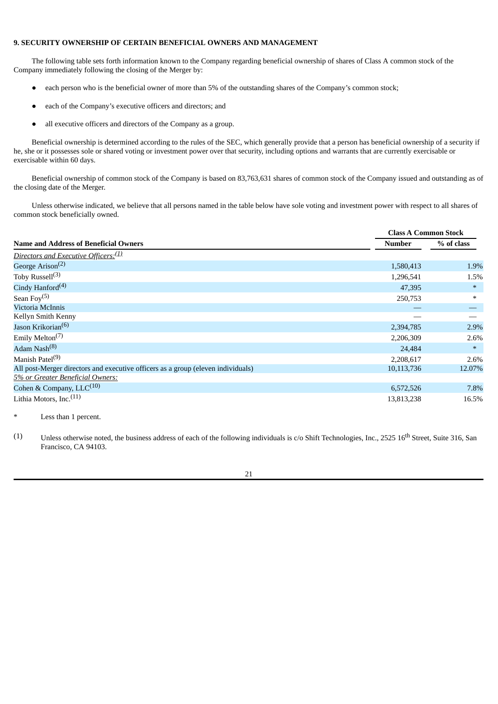## <span id="page-21-0"></span>**9. SECURITY OWNERSHIP OF CERTAIN BENEFICIAL OWNERS AND MANAGEMENT**

The following table sets forth information known to the Company regarding beneficial ownership of shares of Class A common stock of the Company immediately following the closing of the Merger by:

- each person who is the beneficial owner of more than 5% of the outstanding shares of the Company's common stock;
- each of the Company's executive officers and directors; and
- all executive officers and directors of the Company as a group.

Beneficial ownership is determined according to the rules of the SEC, which generally provide that a person has beneficial ownership of a security if he, she or it possesses sole or shared voting or investment power over that security, including options and warrants that are currently exercisable or exercisable within 60 days.

Beneficial ownership of common stock of the Company is based on 83,763,631 shares of common stock of the Company issued and outstanding as of the closing date of the Merger.

Unless otherwise indicated, we believe that all persons named in the table below have sole voting and investment power with respect to all shares of common stock beneficially owned.

|                                                                                  | <b>Class A Common Stock</b> |            |  |  |
|----------------------------------------------------------------------------------|-----------------------------|------------|--|--|
| <b>Name and Address of Beneficial Owners</b>                                     | <b>Number</b>               | % of class |  |  |
| Directors and Executive Officers: <sup>(1)</sup>                                 |                             |            |  |  |
| George Arison <sup>(2)</sup>                                                     | 1,580,413                   | 1.9%       |  |  |
| Toby Russell $(3)$                                                               | 1,296,541                   | 1.5%       |  |  |
| Cindy Hanford $(4)$                                                              | 47,395                      | $\ast$     |  |  |
| Sean Foy $(5)$                                                                   | 250,753                     | $\ast$     |  |  |
| Victoria McInnis                                                                 |                             |            |  |  |
| Kellyn Smith Kenny                                                               |                             |            |  |  |
| Jason Krikorian <sup>(6)</sup>                                                   | 2,394,785                   | 2.9%       |  |  |
| Emily Melton <sup><math>(7)</math></sup>                                         | 2,206,309                   | 2.6%       |  |  |
| Adam Nash <sup>(8)</sup>                                                         | 24,484                      | $\ast$     |  |  |
| Manish Patel <sup>(9)</sup>                                                      | 2,208,617                   | 2.6%       |  |  |
| All post-Merger directors and executive officers as a group (eleven individuals) | 10,113,736                  | 12.07%     |  |  |
| 5% or Greater Beneficial Owners:                                                 |                             |            |  |  |
| Cohen & Company, $LLC^{(10)}$                                                    | 6,572,526                   | 7.8%       |  |  |
| Lithia Motors, Inc. <sup>(11)</sup>                                              | 13,813,238                  | 16.5%      |  |  |

Less than 1 percent.

(1) Unless otherwise noted, the business address of each of the following individuals is  $c/\text{o}$  Shift Technologies, Inc., 2525 16<sup>th</sup> Street, Suite 316, San Francisco, CA 94103.

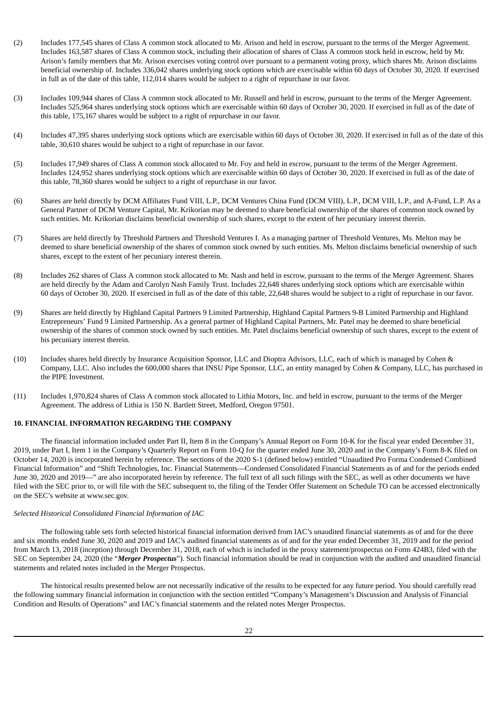- (2) Includes 177,545 shares of Class A common stock allocated to Mr. Arison and held in escrow, pursuant to the terms of the Merger Agreement. Includes 163,587 shares of Class A common stock, including their allocation of shares of Class A common stock held in escrow, held by Mr. Arison's family members that Mr. Arison exercises voting control over pursuant to a permanent voting proxy, which shares Mr. Arison disclaims beneficial ownership of. Includes 336,042 shares underlying stock options which are exercisable within 60 days of October 30, 2020. If exercised in full as of the date of this table, 112,014 shares would be subject to a right of repurchase in our favor.
- (3) Includes 109,944 shares of Class A common stock allocated to Mr. Russell and held in escrow, pursuant to the terms of the Merger Agreement. Includes 525,964 shares underlying stock options which are exercisable within 60 days of October 30, 2020. If exercised in full as of the date of this table, 175,167 shares would be subject to a right of repurchase in our favor.
- (4) Includes 47,395 shares underlying stock options which are exercisable within 60 days of October 30, 2020. If exercised in full as of the date of this table, 30,610 shares would be subject to a right of repurchase in our favor.
- (5) Includes 17,949 shares of Class A common stock allocated to Mr. Foy and held in escrow, pursuant to the terms of the Merger Agreement. Includes 124,952 shares underlying stock options which are exercisable within 60 days of October 30, 2020. If exercised in full as of the date of this table, 78,360 shares would be subject to a right of repurchase in our favor.
- (6) Shares are held directly by DCM Affiliates Fund VIII, L.P., DCM Ventures China Fund (DCM VIII), L.P., DCM VIII, L.P., and A-Fund, L.P. As a General Partner of DCM Venture Capital, Mr. Krikorian may be deemed to share beneficial ownership of the shares of common stock owned by such entities. Mr. Krikorian disclaims beneficial ownership of such shares, except to the extent of her pecuniary interest therein.
- (7) Shares are held directly by Threshold Partners and Threshold Ventures I. As a managing partner of Threshold Ventures, Ms. Melton may be deemed to share beneficial ownership of the shares of common stock owned by such entities. Ms. Melton disclaims beneficial ownership of such shares, except to the extent of her pecuniary interest therein.
- (8) Includes 262 shares of Class A common stock allocated to Mr. Nash and held in escrow, pursuant to the terms of the Merger Agreement. Shares are held directly by the Adam and Carolyn Nash Family Trust. Includes 22,648 shares underlying stock options which are exercisable within 60 days of October 30, 2020. If exercised in full as of the date of this table, 22,648 shares would be subject to a right of repurchase in our favor.
- (9) Shares are held directly by Highland Capital Partners 9 Limited Partnership, Highland Capital Partners 9-B Limited Partnership and Highland Entrepreneurs' Fund 9 Limited Partnership. As a general partner of Highland Capital Partners, Mr. Patel may be deemed to share beneficial ownership of the shares of common stock owned by such entities. Mr. Patel disclaims beneficial ownership of such shares, except to the extent of his pecuniary interest therein.
- (10) Includes shares held directly by Insurance Acquisition Sponsor, LLC and Dioptra Advisors, LLC, each of which is managed by Cohen & Company, LLC. Also includes the 600,000 shares that INSU Pipe Sponsor, LLC, an entity managed by Cohen & Company, LLC, has purchased in the PIPE Investment.
- (11) Includes 1,970,824 shares of Class A common stock allocated to Lithia Motors, Inc. and held in escrow, pursuant to the terms of the Merger Agreement. The address of Lithia is 150 N. Bartlett Street, Medford, Oregon 97501.

## <span id="page-22-0"></span>**10. FINANCIAL INFORMATION REGARDING THE COMPANY**

The financial information included under Part II, Item 8 in the Company's Annual Report on Form 10-K for the fiscal year ended December 31, 2019, under Part I, Item 1 in the Company's Quarterly Report on Form 10-Q for the quarter ended June 30, 2020 and in the Company's Form 8-K filed on October 14, 2020 is incorporated herein by reference. The sections of the 2020 S-1 (defined below) entitled "Unaudited Pro Forma Condensed Combined Financial Information" and "Shift Technologies, Inc. Financial Statements—Condensed Consolidated Financial Statements as of and for the periods ended June 30, 2020 and 2019—" are also incorporated herein by reference. The full text of all such filings with the SEC, as well as other documents we have filed with the SEC prior to, or will file with the SEC subsequent to, the filing of the Tender Offer Statement on Schedule TO can be accessed electronically on the SEC's website at www.sec.gov.

## *Selected Historical Consolidated Financial Information of IAC*

The following table sets forth selected historical financial information derived from IAC's unaudited financial statements as of and for the three and six months ended June 30, 2020 and 2019 and IAC's audited financial statements as of and for the year ended December 31, 2019 and for the period from March 13, 2018 (inception) through December 31, 2018, each of which is included in the proxy statement/prospectus on Form 424B3, filed with the SEC on September 24, 2020 (the "*Merger Prospectus*"). Such financial information should be read in conjunction with the audited and unaudited financial statements and related notes included in the Merger Prospectus.

The historical results presented below are not necessarily indicative of the results to be expected for any future period. You should carefully read the following summary financial information in conjunction with the section entitled "Company's Management's Discussion and Analysis of Financial Condition and Results of Operations" and IAC's financial statements and the related notes Merger Prospectus.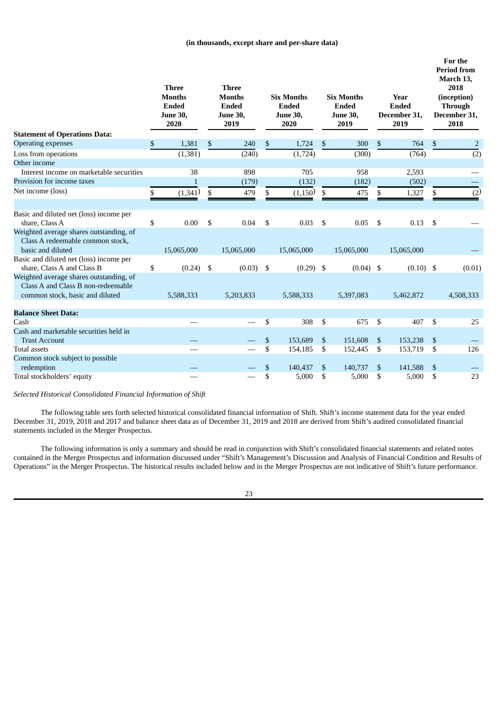## **(in thousands, except share and per-share data)**

| <b>Three</b><br><b>Three</b><br><b>Months</b><br><b>Months</b><br><b>Six Months</b><br><b>Six Months</b><br>Year<br><b>Ended</b><br>Ended<br><b>Ended</b><br>Ended<br>Ended<br>June 30,<br>December 31,<br><b>June 30,</b><br><b>June 30,</b><br><b>June 30,</b><br>2020<br>2019<br>2020<br>2019<br>2019 |             | For the<br><b>Period from</b><br>March 13,<br>2018<br>(inception)<br><b>Through</b><br>December 31,<br>2018 |
|----------------------------------------------------------------------------------------------------------------------------------------------------------------------------------------------------------------------------------------------------------------------------------------------------------|-------------|-------------------------------------------------------------------------------------------------------------|
| <b>Statement of Operations Data:</b>                                                                                                                                                                                                                                                                     |             |                                                                                                             |
| <b>Operating expenses</b><br>\$<br>1,381<br>\$<br>240<br>1,724<br>\$<br>300<br>\$<br>\$                                                                                                                                                                                                                  | 764<br>\$   | $\overline{2}$                                                                                              |
| (1, 381)<br>(240)<br>(1,724)<br>(300)<br>Loss from operations                                                                                                                                                                                                                                            | (764)       | $\overline{(2)}$                                                                                            |
| Other income                                                                                                                                                                                                                                                                                             |             |                                                                                                             |
| Interest income on marketable securities<br>38<br>898<br>705<br>958<br>2,593                                                                                                                                                                                                                             |             |                                                                                                             |
| Provision for income taxes<br>(179)<br>(132)<br>(182)<br>$\mathbf{1}$                                                                                                                                                                                                                                    | (502)       |                                                                                                             |
| Net income (loss)<br>(1,341)<br>(1,150)<br>\$<br>479<br>\$<br>475<br>1,327<br>\$<br>\$<br>\$                                                                                                                                                                                                             | \$          | (2)                                                                                                         |
|                                                                                                                                                                                                                                                                                                          |             |                                                                                                             |
| Basic and diluted net (loss) income per                                                                                                                                                                                                                                                                  |             |                                                                                                             |
| \$<br>0.00<br>\$<br>\$<br>0.04<br>\$<br>0.03<br>0.05<br>\$<br>share. Class A                                                                                                                                                                                                                             | \$<br>0.13  |                                                                                                             |
| Weighted average shares outstanding, of                                                                                                                                                                                                                                                                  |             |                                                                                                             |
| Class A redeemable common stock,                                                                                                                                                                                                                                                                         |             |                                                                                                             |
| basic and diluted<br>15,065,000<br>15,065,000<br>15,065,000<br>15,065,000<br>15,065,000                                                                                                                                                                                                                  |             |                                                                                                             |
| Basic and diluted net (loss) income per                                                                                                                                                                                                                                                                  |             |                                                                                                             |
| \$<br>share, Class A and Class B<br>(0.24)<br>-\$<br>$(0.03)$ \$<br>$(0.04)$ \$<br>$(0.29)$ \$                                                                                                                                                                                                           | $(0.10)$ \$ | (0.01)                                                                                                      |
| Weighted average shares outstanding, of                                                                                                                                                                                                                                                                  |             |                                                                                                             |
| Class A and Class B non-redeemable                                                                                                                                                                                                                                                                       |             |                                                                                                             |
| common stock, basic and diluted<br>5,588,333<br>5,203,833<br>5,588,333<br>5,397,083<br>5,462,872                                                                                                                                                                                                         |             | 4,508,333                                                                                                   |
| <b>Balance Sheet Data:</b>                                                                                                                                                                                                                                                                               |             |                                                                                                             |
| Cash<br>\$<br>308<br>\$<br>675<br>\$                                                                                                                                                                                                                                                                     | 407<br>\$   | 25                                                                                                          |
| Cash and marketable securities held in                                                                                                                                                                                                                                                                   |             |                                                                                                             |
| 153,689<br>$\mathcal{S}$<br><b>Trust Account</b><br>\$<br>151,608<br>\$<br>153,238                                                                                                                                                                                                                       | \$          |                                                                                                             |
| \$<br><b>Total assets</b><br>154,185<br>\$<br>\$<br>153,719<br>152,445                                                                                                                                                                                                                                   | \$          | 126                                                                                                         |
| Common stock subject to possible                                                                                                                                                                                                                                                                         |             |                                                                                                             |
| redemption<br>\$<br>140,437<br>\$<br>140,737<br>\$<br>141,588                                                                                                                                                                                                                                            | \$          |                                                                                                             |
| \$<br>5,000<br>5,000<br>5,000<br>Total stockholders' equity<br>S<br>\$                                                                                                                                                                                                                                   | \$          | 23                                                                                                          |

*Selected Historical Consolidated Financial Information of Shift*

The following table sets forth selected historical consolidated financial information of Shift. Shift's income statement data for the year ended December 31, 2019, 2018 and 2017 and balance sheet data as of December 31, 2019 and 2018 are derived from Shift's audited consolidated financial statements included in the Merger Prospectus.

The following information is only a summary and should be read in conjunction with Shift's consolidated financial statements and related notes contained in the Merger Prospectus and information discussed under "Shift's Management's Discussion and Analysis of Financial Condition and Results of Operations" in the Merger Prospectus. The historical results included below and in the Merger Prospectus are not indicative of Shift's future performance.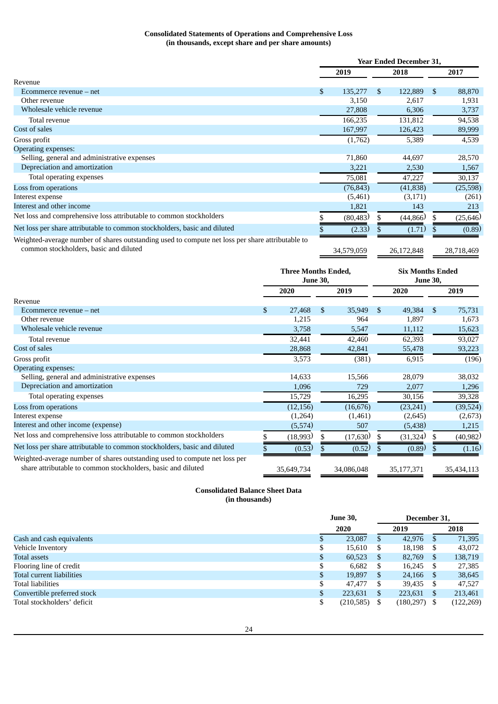# **Consolidated Statements of Operations and Comprehensive Loss (in thousands, except share and per share amounts)**

|                                                                                                  | <b>Year Ended December 31,</b> |            |     |            |     |            |
|--------------------------------------------------------------------------------------------------|--------------------------------|------------|-----|------------|-----|------------|
|                                                                                                  |                                | 2019       |     | 2018       |     | 2017       |
| Revenue                                                                                          |                                |            |     |            |     |            |
| $E$ commerce revenue $-$ net                                                                     | \$                             | 135,277    | \$. | 122,889    | \$. | 88,870     |
| Other revenue                                                                                    |                                | 3,150      |     | 2,617      |     | 1,931      |
| Wholesale vehicle revenue                                                                        |                                | 27,808     |     | 6,306      |     | 3,737      |
| Total revenue                                                                                    |                                | 166,235    |     | 131,812    |     | 94,538     |
| Cost of sales                                                                                    |                                | 167,997    |     | 126,423    |     | 89,999     |
| Gross profit                                                                                     |                                | (1,762)    |     | 5,389      |     | 4,539      |
| <b>Operating expenses:</b>                                                                       |                                |            |     |            |     |            |
| Selling, general and administrative expenses                                                     |                                | 71,860     |     | 44,697     |     | 28,570     |
| Depreciation and amortization                                                                    |                                | 3,221      |     | 2,530      |     | 1,567      |
| Total operating expenses                                                                         |                                | 75,081     |     | 47,227     |     | 30,137     |
| Loss from operations                                                                             |                                | (76, 843)  |     | (41, 838)  |     | (25,598)   |
| Interest expense                                                                                 |                                | (5,461)    |     | (3, 171)   |     | (261)      |
| Interest and other income                                                                        |                                | 1,821      |     | 143        |     | 213        |
| Net loss and comprehensive loss attributable to common stockholders                              |                                | (80, 483)  |     | (44, 866)  |     | (25, 646)  |
| Net loss per share attributable to common stockholders, basic and diluted                        |                                | (2.33)     |     | (1.71)     |     | (0.89)     |
| Weighted-average number of shares outstanding used to compute net loss per share attributable to |                                |            |     |            |     |            |
| common stockholders, basic and diluted                                                           |                                | 34,579,059 |     | 26,172,848 |     | 28,718,469 |

|                                                                                                                                            | <b>Three Months Ended,</b><br><b>June 30,</b> |            |    | <b>Six Months Ended</b><br><b>June 30,</b> |               |            |     |            |  |
|--------------------------------------------------------------------------------------------------------------------------------------------|-----------------------------------------------|------------|----|--------------------------------------------|---------------|------------|-----|------------|--|
|                                                                                                                                            |                                               | 2020       |    | 2019                                       |               | 2020       |     | 2019       |  |
| Revenue                                                                                                                                    |                                               |            |    |                                            |               |            |     |            |  |
| $E$ commerce revenue $-$ net                                                                                                               | \$                                            | 27,468     | \$ | 35,949                                     | <sup>\$</sup> | 49,384     | \$  | 75,731     |  |
| Other revenue                                                                                                                              |                                               | 1,215      |    | 964                                        |               | 1,897      |     | 1,673      |  |
| Wholesale vehicle revenue                                                                                                                  |                                               | 3,758      |    | 5,547                                      |               | 11,112     |     | 15,623     |  |
| Total revenue                                                                                                                              |                                               | 32,441     |    | 42,460                                     |               | 62,393     |     | 93,027     |  |
| Cost of sales                                                                                                                              |                                               | 28,868     |    | 42,841                                     |               | 55,478     |     | 93,223     |  |
| Gross profit                                                                                                                               |                                               | 3,573      |    | (381)                                      |               | 6,915      |     | (196)      |  |
| Operating expenses:                                                                                                                        |                                               |            |    |                                            |               |            |     |            |  |
| Selling, general and administrative expenses                                                                                               |                                               | 14,633     |    | 15,566                                     |               | 28,079     |     | 38,032     |  |
| Depreciation and amortization                                                                                                              |                                               | 1,096      |    | 729                                        |               | 2,077      |     | 1,296      |  |
| Total operating expenses                                                                                                                   |                                               | 15,729     |    | 16,295                                     |               | 30,156     |     | 39,328     |  |
| Loss from operations                                                                                                                       |                                               | (12, 156)  |    | (16, 676)                                  |               | (23, 241)  |     | (39, 524)  |  |
| Interest expense                                                                                                                           |                                               | (1,264)    |    | (1,461)                                    |               | (2,645)    |     | (2,673)    |  |
| Interest and other income (expense)                                                                                                        |                                               | (5,574)    |    | 507                                        |               | (5,438)    |     | 1,215      |  |
| Net loss and comprehensive loss attributable to common stockholders                                                                        |                                               | (18,993)   | \$ | (17,630)                                   | \$            | (31, 324)  | \$  | (40, 982)  |  |
| Net loss per share attributable to common stockholders, basic and diluted                                                                  |                                               | (0.53)     |    | (0.52)                                     |               | (0.89)     | \$. | (1.16)     |  |
| Weighted-average number of shares outstanding used to compute net loss per<br>share attributable to common stockholders, basic and diluted |                                               | 35,649,734 |    | 34,086,048                                 |               | 35,177,371 |     | 35,434,113 |  |

# **Consolidated Balance Sheet Data (in thousands)**

|                             |    | <b>June 30,</b> | December 31. |            |      |            |  |
|-----------------------------|----|-----------------|--------------|------------|------|------------|--|
|                             |    | 2020            |              | 2019       |      | 2018       |  |
| Cash and cash equivalents   |    | 23,087          | <sup>S</sup> | 42,976     | S.   | 71,395     |  |
| Vehicle Inventory           |    | 15,610          | S            | 18,198     | S    | 43,072     |  |
| <b>Total assets</b>         | S  | 60,523          | S            | 82,769     | S    | 138,719    |  |
| Flooring line of credit     |    | 6.682           | S            | 16,245     | - \$ | 27,385     |  |
| Total current liabilities   | S  | 19,897          | S            | 24,166     | - \$ | 38,645     |  |
| <b>Total liabilities</b>    |    | 47.477          | -S           | 39,435     | S    | 47.527     |  |
| Convertible preferred stock | \$ | 223,631         | S            | 223,631    | S    | 213,461    |  |
| Total stockholders' deficit |    | (210, 585)      |              | (180, 297) |      | (122, 269) |  |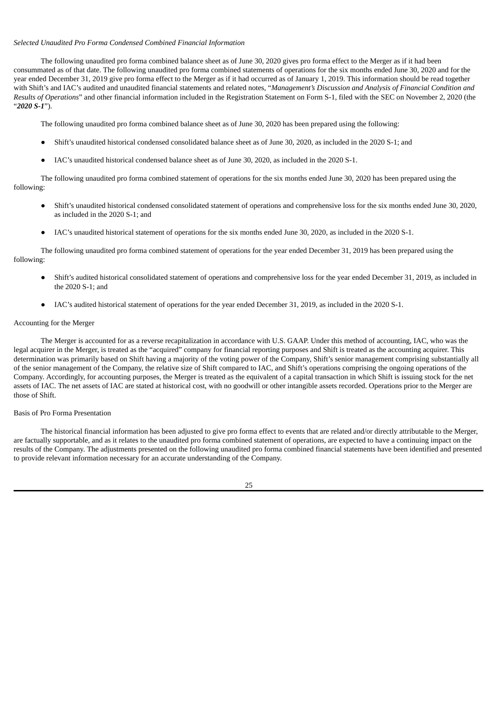#### *Selected Unaudited Pro Forma Condensed Combined Financial Information*

The following unaudited pro forma combined balance sheet as of June 30, 2020 gives pro forma effect to the Merger as if it had been consummated as of that date. The following unaudited pro forma combined statements of operations for the six months ended June 30, 2020 and for the year ended December 31, 2019 give pro forma effect to the Merger as if it had occurred as of January 1, 2019. This information should be read together with Shift's and IAC's audited and unaudited financial statements and related notes, "*Management's Discussion and Analysis of Financial Condition and Results of Operations*" and other financial information included in the Registration Statement on Form S-1, filed with the SEC on November 2, 2020 (the "*2020 S-1*").

The following unaudited pro forma combined balance sheet as of June 30, 2020 has been prepared using the following:

- Shift's unaudited historical condensed consolidated balance sheet as of June 30, 2020, as included in the 2020 S-1; and
- IAC's unaudited historical condensed balance sheet as of June 30, 2020, as included in the 2020 S-1.

The following unaudited pro forma combined statement of operations for the six months ended June 30, 2020 has been prepared using the following:

- Shift's unaudited historical condensed consolidated statement of operations and comprehensive loss for the six months ended June 30, 2020, as included in the 2020 S-1; and
- IAC's unaudited historical statement of operations for the six months ended June 30, 2020, as included in the 2020 S-1.

The following unaudited pro forma combined statement of operations for the year ended December 31, 2019 has been prepared using the following:

- Shift's audited historical consolidated statement of operations and comprehensive loss for the year ended December 31, 2019, as included in the 2020 S-1; and
- IAC's audited historical statement of operations for the year ended December 31, 2019, as included in the 2020 S-1.

#### Accounting for the Merger

The Merger is accounted for as a reverse recapitalization in accordance with U.S. GAAP. Under this method of accounting, IAC, who was the legal acquirer in the Merger, is treated as the "acquired" company for financial reporting purposes and Shift is treated as the accounting acquirer. This determination was primarily based on Shift having a majority of the voting power of the Company, Shift's senior management comprising substantially all of the senior management of the Company, the relative size of Shift compared to IAC, and Shift's operations comprising the ongoing operations of the Company. Accordingly, for accounting purposes, the Merger is treated as the equivalent of a capital transaction in which Shift is issuing stock for the net assets of IAC. The net assets of IAC are stated at historical cost, with no goodwill or other intangible assets recorded. Operations prior to the Merger are those of Shift.

### Basis of Pro Forma Presentation

The historical financial information has been adjusted to give pro forma effect to events that are related and/or directly attributable to the Merger, are factually supportable, and as it relates to the unaudited pro forma combined statement of operations, are expected to have a continuing impact on the results of the Company. The adjustments presented on the following unaudited pro forma combined financial statements have been identified and presented to provide relevant information necessary for an accurate understanding of the Company.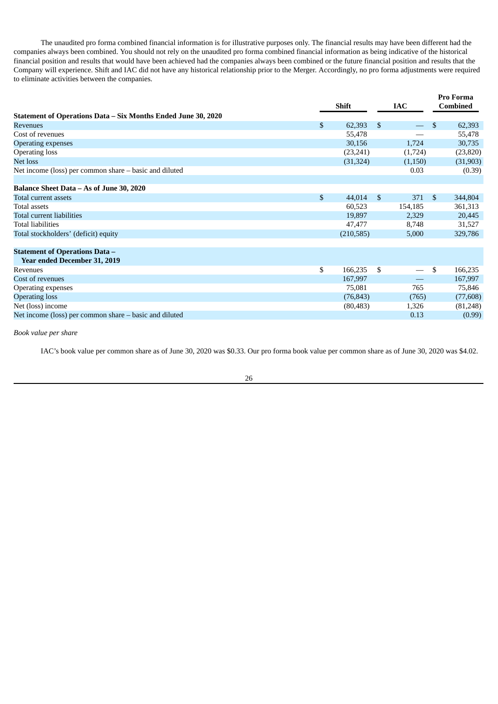The unaudited pro forma combined financial information is for illustrative purposes only. The financial results may have been different had the companies always been combined. You should not rely on the unaudited pro forma combined financial information as being indicative of the historical financial position and results that would have been achieved had the companies always been combined or the future financial position and results that the Company will experience. Shift and IAC did not have any historical relationship prior to the Merger. Accordingly, no pro forma adjustments were required to eliminate activities between the companies.

|                                                               |              | Shift      |    | <b>IAC</b>                       |                | <b>Pro Forma</b><br><b>Combined</b> |  |
|---------------------------------------------------------------|--------------|------------|----|----------------------------------|----------------|-------------------------------------|--|
| Statement of Operations Data – Six Months Ended June 30, 2020 |              |            |    |                                  |                |                                     |  |
| <b>Revenues</b>                                               | \$           | 62,393     | \$ |                                  | $\mathfrak{L}$ | 62,393                              |  |
| Cost of revenues                                              |              | 55,478     |    |                                  |                | 55,478                              |  |
| <b>Operating expenses</b>                                     |              | 30,156     |    | 1,724                            |                | 30,735                              |  |
| <b>Operating loss</b>                                         |              | (23,241)   |    | (1,724)                          |                | (23, 820)                           |  |
| Net loss                                                      |              | (31, 324)  |    | (1,150)                          |                | (31,903)                            |  |
| Net income (loss) per common share – basic and diluted        |              |            |    | 0.03                             |                | (0.39)                              |  |
|                                                               |              |            |    |                                  |                |                                     |  |
| Balance Sheet Data - As of June 30, 2020                      |              |            |    |                                  |                |                                     |  |
| Total current assets                                          | $\mathbb{S}$ | 44,014     | \$ | 371                              | $\mathbb{S}$   | 344,804                             |  |
| Total assets                                                  |              | 60,523     |    | 154,185                          |                | 361,313                             |  |
| Total current liabilities                                     |              | 19,897     |    | 2,329                            |                | 20,445                              |  |
| <b>Total liabilities</b>                                      |              | 47,477     |    | 8,748                            |                | 31,527                              |  |
| Total stockholders' (deficit) equity                          |              | (210, 585) |    | 5,000                            |                | 329,786                             |  |
|                                                               |              |            |    |                                  |                |                                     |  |
| <b>Statement of Operations Data -</b>                         |              |            |    |                                  |                |                                     |  |
| Year ended December 31, 2019                                  |              |            |    |                                  |                |                                     |  |
| <b>Revenues</b>                                               | \$           | 166,235    | \$ | $\overbrace{\phantom{12322111}}$ | \$             | 166,235                             |  |
| Cost of revenues                                              |              | 167,997    |    |                                  |                | 167,997                             |  |
| Operating expenses                                            |              | 75,081     |    | 765                              |                | 75,846                              |  |
| <b>Operating loss</b>                                         |              | (76, 843)  |    | (765)                            |                | (77,608)                            |  |
| Net (loss) income                                             |              | (80, 483)  |    | 1,326                            |                | (81,248)                            |  |
| Net income (loss) per common share – basic and diluted        |              |            |    | 0.13                             |                | (0.99)                              |  |

*Book value per share*

IAC's book value per common share as of June 30, 2020 was \$0.33. Our pro forma book value per common share as of June 30, 2020 was \$4.02.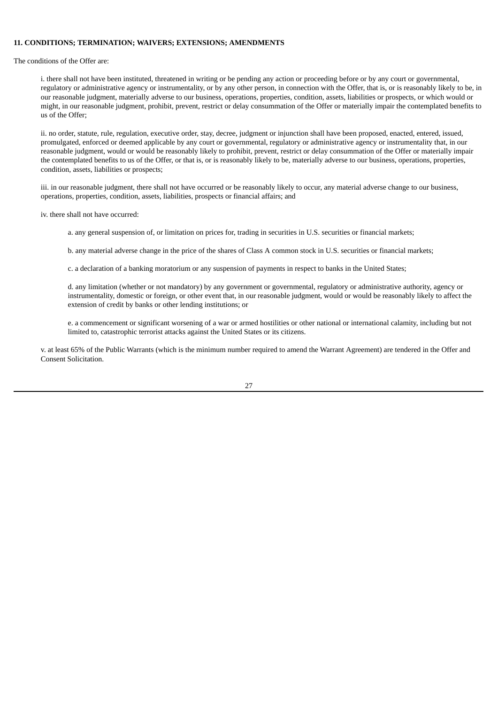#### <span id="page-27-0"></span>**11. CONDITIONS; TERMINATION; WAIVERS; EXTENSIONS; AMENDMENTS**

The conditions of the Offer are:

i. there shall not have been instituted, threatened in writing or be pending any action or proceeding before or by any court or governmental, regulatory or administrative agency or instrumentality, or by any other person, in connection with the Offer, that is, or is reasonably likely to be, in our reasonable judgment, materially adverse to our business, operations, properties, condition, assets, liabilities or prospects, or which would or might, in our reasonable judgment, prohibit, prevent, restrict or delay consummation of the Offer or materially impair the contemplated benefits to us of the Offer;

ii. no order, statute, rule, regulation, executive order, stay, decree, judgment or injunction shall have been proposed, enacted, entered, issued, promulgated, enforced or deemed applicable by any court or governmental, regulatory or administrative agency or instrumentality that, in our reasonable judgment, would or would be reasonably likely to prohibit, prevent, restrict or delay consummation of the Offer or materially impair the contemplated benefits to us of the Offer, or that is, or is reasonably likely to be, materially adverse to our business, operations, properties, condition, assets, liabilities or prospects;

iii. in our reasonable judgment, there shall not have occurred or be reasonably likely to occur, any material adverse change to our business, operations, properties, condition, assets, liabilities, prospects or financial affairs; and

iv. there shall not have occurred:

a. any general suspension of, or limitation on prices for, trading in securities in U.S. securities or financial markets;

b. any material adverse change in the price of the shares of Class A common stock in U.S. securities or financial markets;

c. a declaration of a banking moratorium or any suspension of payments in respect to banks in the United States;

d. any limitation (whether or not mandatory) by any government or governmental, regulatory or administrative authority, agency or instrumentality, domestic or foreign, or other event that, in our reasonable judgment, would or would be reasonably likely to affect the extension of credit by banks or other lending institutions; or

e. a commencement or significant worsening of a war or armed hostilities or other national or international calamity, including but not limited to, catastrophic terrorist attacks against the United States or its citizens.

v. at least 65% of the Public Warrants (which is the minimum number required to amend the Warrant Agreement) are tendered in the Offer and Consent Solicitation.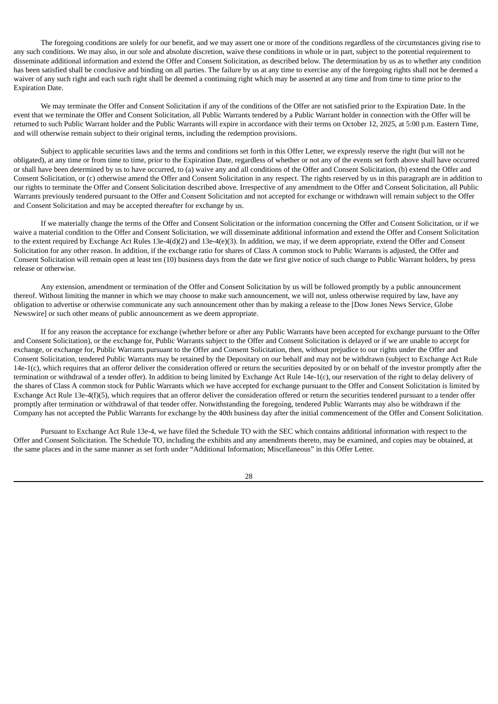The foregoing conditions are solely for our benefit, and we may assert one or more of the conditions regardless of the circumstances giving rise to any such conditions. We may also, in our sole and absolute discretion, waive these conditions in whole or in part, subject to the potential requirement to disseminate additional information and extend the Offer and Consent Solicitation, as described below. The determination by us as to whether any condition has been satisfied shall be conclusive and binding on all parties. The failure by us at any time to exercise any of the foregoing rights shall not be deemed a waiver of any such right and each such right shall be deemed a continuing right which may be asserted at any time and from time to time prior to the Expiration Date.

We may terminate the Offer and Consent Solicitation if any of the conditions of the Offer are not satisfied prior to the Expiration Date. In the event that we terminate the Offer and Consent Solicitation, all Public Warrants tendered by a Public Warrant holder in connection with the Offer will be returned to such Public Warrant holder and the Public Warrants will expire in accordance with their terms on October 12, 2025, at 5:00 p.m. Eastern Time, and will otherwise remain subject to their original terms, including the redemption provisions.

Subject to applicable securities laws and the terms and conditions set forth in this Offer Letter, we expressly reserve the right (but will not be obligated), at any time or from time to time, prior to the Expiration Date, regardless of whether or not any of the events set forth above shall have occurred or shall have been determined by us to have occurred, to (a) waive any and all conditions of the Offer and Consent Solicitation, (b) extend the Offer and Consent Solicitation, or (c) otherwise amend the Offer and Consent Solicitation in any respect. The rights reserved by us in this paragraph are in addition to our rights to terminate the Offer and Consent Solicitation described above. Irrespective of any amendment to the Offer and Consent Solicitation, all Public Warrants previously tendered pursuant to the Offer and Consent Solicitation and not accepted for exchange or withdrawn will remain subject to the Offer and Consent Solicitation and may be accepted thereafter for exchange by us.

If we materially change the terms of the Offer and Consent Solicitation or the information concerning the Offer and Consent Solicitation, or if we waive a material condition to the Offer and Consent Solicitation, we will disseminate additional information and extend the Offer and Consent Solicitation to the extent required by Exchange Act Rules 13e-4(d)(2) and 13e-4(e)(3). In addition, we may, if we deem appropriate, extend the Offer and Consent Solicitation for any other reason. In addition, if the exchange ratio for shares of Class A common stock to Public Warrants is adjusted, the Offer and Consent Solicitation will remain open at least ten (10) business days from the date we first give notice of such change to Public Warrant holders, by press release or otherwise.

Any extension, amendment or termination of the Offer and Consent Solicitation by us will be followed promptly by a public announcement thereof. Without limiting the manner in which we may choose to make such announcement, we will not, unless otherwise required by law, have any obligation to advertise or otherwise communicate any such announcement other than by making a release to the [Dow Jones News Service, Globe Newswire] or such other means of public announcement as we deem appropriate.

If for any reason the acceptance for exchange (whether before or after any Public Warrants have been accepted for exchange pursuant to the Offer and Consent Solicitation), or the exchange for, Public Warrants subject to the Offer and Consent Solicitation is delayed or if we are unable to accept for exchange, or exchange for, Public Warrants pursuant to the Offer and Consent Solicitation, then, without prejudice to our rights under the Offer and Consent Solicitation, tendered Public Warrants may be retained by the Depositary on our behalf and may not be withdrawn (subject to Exchange Act Rule 14e-1(c), which requires that an offeror deliver the consideration offered or return the securities deposited by or on behalf of the investor promptly after the termination or withdrawal of a tender offer). In addition to being limited by Exchange Act Rule 14e-1(c), our reservation of the right to delay delivery of the shares of Class A common stock for Public Warrants which we have accepted for exchange pursuant to the Offer and Consent Solicitation is limited by Exchange Act Rule 13e-4(f)(5), which requires that an offeror deliver the consideration offered or return the securities tendered pursuant to a tender offer promptly after termination or withdrawal of that tender offer. Notwithstanding the foregoing, tendered Public Warrants may also be withdrawn if the Company has not accepted the Public Warrants for exchange by the 40th business day after the initial commencement of the Offer and Consent Solicitation.

Pursuant to Exchange Act Rule 13e-4, we have filed the Schedule TO with the SEC which contains additional information with respect to the Offer and Consent Solicitation. The Schedule TO, including the exhibits and any amendments thereto, may be examined, and copies may be obtained, at the same places and in the same manner as set forth under "Additional Information; Miscellaneous" in this Offer Letter.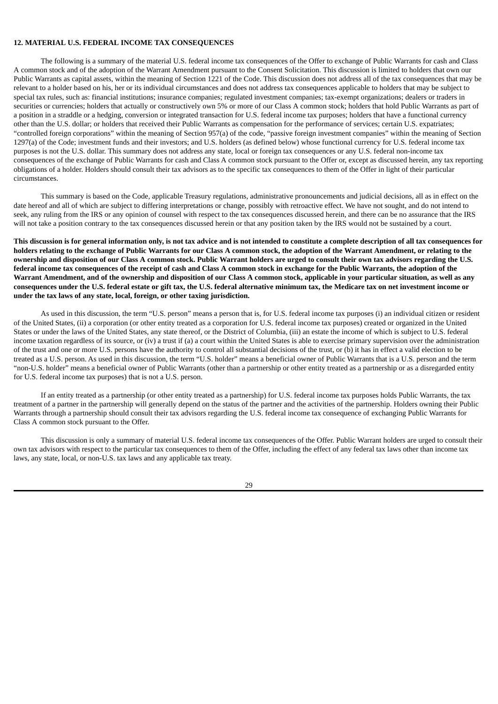## <span id="page-29-0"></span>**12. MATERIAL U.S. FEDERAL INCOME TAX CONSEQUENCES**

The following is a summary of the material U.S. federal income tax consequences of the Offer to exchange of Public Warrants for cash and Class A common stock and of the adoption of the Warrant Amendment pursuant to the Consent Solicitation. This discussion is limited to holders that own our Public Warrants as capital assets, within the meaning of Section 1221 of the Code. This discussion does not address all of the tax consequences that may be relevant to a holder based on his, her or its individual circumstances and does not address tax consequences applicable to holders that may be subject to special tax rules, such as: financial institutions; insurance companies; regulated investment companies; tax-exempt organizations; dealers or traders in securities or currencies; holders that actually or constructively own 5% or more of our Class A common stock; holders that hold Public Warrants as part of a position in a straddle or a hedging, conversion or integrated transaction for U.S. federal income tax purposes; holders that have a functional currency other than the U.S. dollar; or holders that received their Public Warrants as compensation for the performance of services; certain U.S. expatriates; "controlled foreign corporations" within the meaning of Section 957(a) of the code, "passive foreign investment companies" within the meaning of Section 1297(a) of the Code; investment funds and their investors; and U.S. holders (as defined below) whose functional currency for U.S. federal income tax purposes is not the U.S. dollar. This summary does not address any state, local or foreign tax consequences or any U.S. federal non-income tax consequences of the exchange of Public Warrants for cash and Class A common stock pursuant to the Offer or, except as discussed herein, any tax reporting obligations of a holder. Holders should consult their tax advisors as to the specific tax consequences to them of the Offer in light of their particular circumstances.

This summary is based on the Code, applicable Treasury regulations, administrative pronouncements and judicial decisions, all as in effect on the date hereof and all of which are subject to differing interpretations or change, possibly with retroactive effect. We have not sought, and do not intend to seek, any ruling from the IRS or any opinion of counsel with respect to the tax consequences discussed herein, and there can be no assurance that the IRS will not take a position contrary to the tax consequences discussed herein or that any position taken by the IRS would not be sustained by a court.

This discussion is for general information only, is not tax advice and is not intended to constitute a complete description of all tax consequences for holders relating to the exchange of Public Warrants for our Class A common stock, the adoption of the Warrant Amendment, or relating to the ownership and disposition of our Class A common stock. Public Warrant holders are urged to consult their own tax advisors regarding the U.S. federal income tax consequences of the receipt of cash and Class A common stock in exchange for the Public Warrants, the adoption of the Warrant Amendment, and of the ownership and disposition of our Class A common stock, applicable in your particular situation, as well as any consequences under the U.S. federal estate or gift tax, the U.S. federal alternative minimum tax, the Medicare tax on net investment income or **under the tax laws of any state, local, foreign, or other taxing jurisdiction.**

As used in this discussion, the term "U.S. person" means a person that is, for U.S. federal income tax purposes (i) an individual citizen or resident of the United States, (ii) a corporation (or other entity treated as a corporation for U.S. federal income tax purposes) created or organized in the United States or under the laws of the United States, any state thereof, or the District of Columbia, (iii) an estate the income of which is subject to U.S. federal income taxation regardless of its source, or (iv) a trust if (a) a court within the United States is able to exercise primary supervision over the administration of the trust and one or more U.S. persons have the authority to control all substantial decisions of the trust, or (b) it has in effect a valid election to be treated as a U.S. person. As used in this discussion, the term "U.S. holder" means a beneficial owner of Public Warrants that is a U.S. person and the term "non-U.S. holder" means a beneficial owner of Public Warrants (other than a partnership or other entity treated as a partnership or as a disregarded entity for U.S. federal income tax purposes) that is not a U.S. person.

If an entity treated as a partnership (or other entity treated as a partnership) for U.S. federal income tax purposes holds Public Warrants, the tax treatment of a partner in the partnership will generally depend on the status of the partner and the activities of the partnership. Holders owning their Public Warrants through a partnership should consult their tax advisors regarding the U.S. federal income tax consequence of exchanging Public Warrants for Class A common stock pursuant to the Offer.

This discussion is only a summary of material U.S. federal income tax consequences of the Offer. Public Warrant holders are urged to consult their own tax advisors with respect to the particular tax consequences to them of the Offer, including the effect of any federal tax laws other than income tax laws, any state, local, or non-U.S. tax laws and any applicable tax treaty.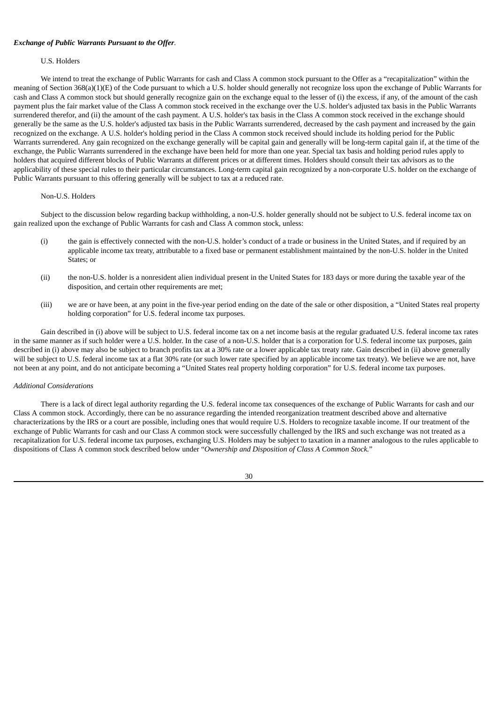#### *Exchange of Public Warrants Pursuant to the Offer.*

#### U.S. Holders

We intend to treat the exchange of Public Warrants for cash and Class A common stock pursuant to the Offer as a "recapitalization" within the meaning of Section 368(a)(1)(E) of the Code pursuant to which a U.S. holder should generally not recognize loss upon the exchange of Public Warrants for cash and Class A common stock but should generally recognize gain on the exchange equal to the lesser of (i) the excess, if any, of the amount of the cash payment plus the fair market value of the Class A common stock received in the exchange over the U.S. holder's adjusted tax basis in the Public Warrants surrendered therefor, and (ii) the amount of the cash payment. A U.S. holder's tax basis in the Class A common stock received in the exchange should generally be the same as the U.S. holder's adjusted tax basis in the Public Warrants surrendered, decreased by the cash payment and increased by the gain recognized on the exchange. A U.S. holder's holding period in the Class A common stock received should include its holding period for the Public Warrants surrendered. Any gain recognized on the exchange generally will be capital gain and generally will be long-term capital gain if, at the time of the exchange, the Public Warrants surrendered in the exchange have been held for more than one year. Special tax basis and holding period rules apply to holders that acquired different blocks of Public Warrants at different prices or at different times. Holders should consult their tax advisors as to the applicability of these special rules to their particular circumstances. Long-term capital gain recognized by a non-corporate U.S. holder on the exchange of Public Warrants pursuant to this offering generally will be subject to tax at a reduced rate.

### Non-U.S. Holders

Subject to the discussion below regarding backup withholding, a non-U.S. holder generally should not be subject to U.S. federal income tax on gain realized upon the exchange of Public Warrants for cash and Class A common stock, unless:

- (i) the gain is effectively connected with the non-U.S. holder's conduct of a trade or business in the United States, and if required by an applicable income tax treaty, attributable to a fixed base or permanent establishment maintained by the non-U.S. holder in the United States; or
- (ii) the non-U.S. holder is a nonresident alien individual present in the United States for 183 days or more during the taxable year of the disposition, and certain other requirements are met;
- (iii) we are or have been, at any point in the five-year period ending on the date of the sale or other disposition, a "United States real property holding corporation" for U.S. federal income tax purposes.

Gain described in (i) above will be subject to U.S. federal income tax on a net income basis at the regular graduated U.S. federal income tax rates in the same manner as if such holder were a U.S. holder. In the case of a non-U.S. holder that is a corporation for U.S. federal income tax purposes, gain described in (i) above may also be subject to branch profits tax at a 30% rate or a lower applicable tax treaty rate. Gain described in (ii) above generally will be subject to U.S. federal income tax at a flat 30% rate (or such lower rate specified by an applicable income tax treaty). We believe we are not, have not been at any point, and do not anticipate becoming a "United States real property holding corporation" for U.S. federal income tax purposes.

#### *Additional Considerations*

There is a lack of direct legal authority regarding the U.S. federal income tax consequences of the exchange of Public Warrants for cash and our Class A common stock. Accordingly, there can be no assurance regarding the intended reorganization treatment described above and alternative characterizations by the IRS or a court are possible, including ones that would require U.S. Holders to recognize taxable income. If our treatment of the exchange of Public Warrants for cash and our Class A common stock were successfully challenged by the IRS and such exchange was not treated as a recapitalization for U.S. federal income tax purposes, exchanging U.S. Holders may be subject to taxation in a manner analogous to the rules applicable to dispositions of Class A common stock described below under "*Ownership and Disposition of Class A Common Stock.*"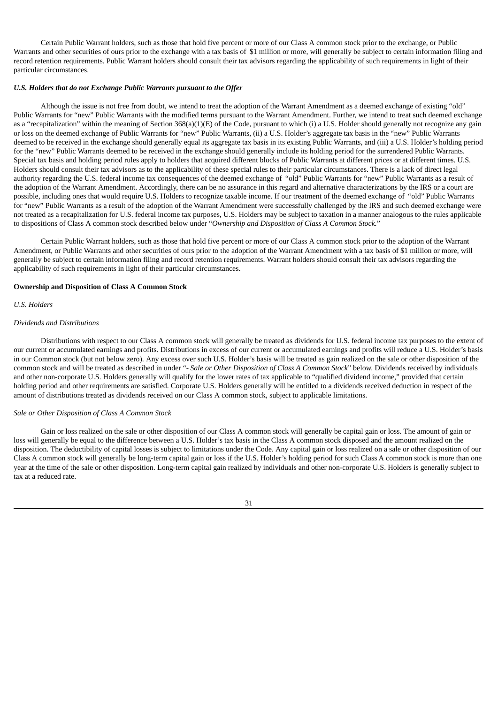Certain Public Warrant holders, such as those that hold five percent or more of our Class A common stock prior to the exchange, or Public Warrants and other securities of ours prior to the exchange with a tax basis of \$1 million or more, will generally be subject to certain information filing and record retention requirements. Public Warrant holders should consult their tax advisors regarding the applicability of such requirements in light of their particular circumstances.

## *U.S. Holders that do not Exchange Public Warrants pursuant to the Offer*

Although the issue is not free from doubt, we intend to treat the adoption of the Warrant Amendment as a deemed exchange of existing "old" Public Warrants for "new" Public Warrants with the modified terms pursuant to the Warrant Amendment. Further, we intend to treat such deemed exchange as a "recapitalization" within the meaning of Section 368(a)(1)(E) of the Code, pursuant to which (i) a U.S. Holder should generally not recognize any gain or loss on the deemed exchange of Public Warrants for "new" Public Warrants, (ii) a U.S. Holder's aggregate tax basis in the "new" Public Warrants deemed to be received in the exchange should generally equal its aggregate tax basis in its existing Public Warrants, and (iii) a U.S. Holder's holding period for the "new" Public Warrants deemed to be received in the exchange should generally include its holding period for the surrendered Public Warrants. Special tax basis and holding period rules apply to holders that acquired different blocks of Public Warrants at different prices or at different times. U.S. Holders should consult their tax advisors as to the applicability of these special rules to their particular circumstances. There is a lack of direct legal authority regarding the U.S. federal income tax consequences of the deemed exchange of "old" Public Warrants for "new" Public Warrants as a result of the adoption of the Warrant Amendment. Accordingly, there can be no assurance in this regard and alternative characterizations by the IRS or a court are possible, including ones that would require U.S. Holders to recognize taxable income. If our treatment of the deemed exchange of "old" Public Warrants for "new" Public Warrants as a result of the adoption of the Warrant Amendment were successfully challenged by the IRS and such deemed exchange were not treated as a recapitalization for U.S. federal income tax purposes, U.S. Holders may be subject to taxation in a manner analogous to the rules applicable to dispositions of Class A common stock described below under "*Ownership and Disposition of Class A Common Stock.*"

Certain Public Warrant holders, such as those that hold five percent or more of our Class A common stock prior to the adoption of the Warrant Amendment, or Public Warrants and other securities of ours prior to the adoption of the Warrant Amendment with a tax basis of \$1 million or more, will generally be subject to certain information filing and record retention requirements. Warrant holders should consult their tax advisors regarding the applicability of such requirements in light of their particular circumstances.

#### **Ownership and Disposition of Class A Common Stock**

#### *U.S. Holders*

#### *Dividends and Distributions*

Distributions with respect to our Class A common stock will generally be treated as dividends for U.S. federal income tax purposes to the extent of our current or accumulated earnings and profits. Distributions in excess of our current or accumulated earnings and profits will reduce a U.S. Holder's basis in our Common stock (but not below zero). Any excess over such U.S. Holder's basis will be treated as gain realized on the sale or other disposition of the common stock and will be treated as described in under "*- Sale or Other Disposition of Class A Common Stock*" below. Dividends received by individuals and other non-corporate U.S. Holders generally will qualify for the lower rates of tax applicable to "qualified dividend income," provided that certain holding period and other requirements are satisfied. Corporate U.S. Holders generally will be entitled to a dividends received deduction in respect of the amount of distributions treated as dividends received on our Class A common stock, subject to applicable limitations.

### *Sale or Other Disposition of Class A Common Stock*

Gain or loss realized on the sale or other disposition of our Class A common stock will generally be capital gain or loss. The amount of gain or loss will generally be equal to the difference between a U.S. Holder's tax basis in the Class A common stock disposed and the amount realized on the disposition. The deductibility of capital losses is subject to limitations under the Code. Any capital gain or loss realized on a sale or other disposition of our Class A common stock will generally be long-term capital gain or loss if the U.S. Holder's holding period for such Class A common stock is more than one year at the time of the sale or other disposition. Long-term capital gain realized by individuals and other non-corporate U.S. Holders is generally subject to tax at a reduced rate.

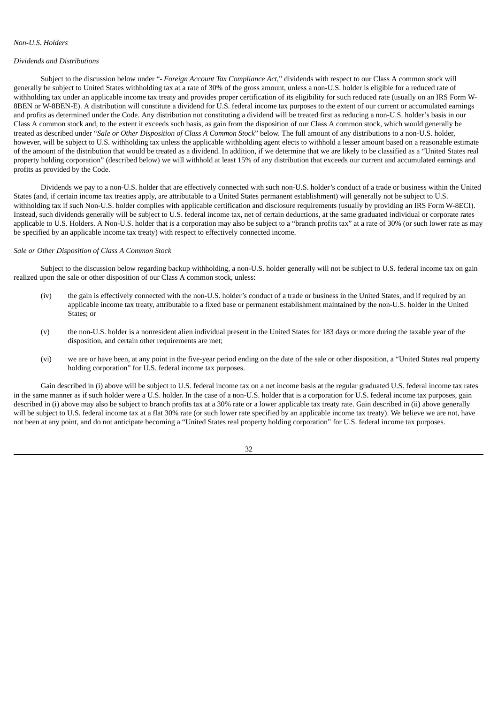# *Non-U.S. Holders*

#### *Dividends and Distributions*

Subject to the discussion below under "*- Foreign Account Tax Compliance Act,*" dividends with respect to our Class A common stock will generally be subject to United States withholding tax at a rate of 30% of the gross amount, unless a non-U.S. holder is eligible for a reduced rate of withholding tax under an applicable income tax treaty and provides proper certification of its eligibility for such reduced rate (usually on an IRS Form W-8BEN or W-8BEN-E). A distribution will constitute a dividend for U.S. federal income tax purposes to the extent of our current or accumulated earnings and profits as determined under the Code. Any distribution not constituting a dividend will be treated first as reducing a non-U.S. holder's basis in our Class A common stock and, to the extent it exceeds such basis, as gain from the disposition of our Class A common stock, which would generally be treated as described under "*Sale or Other Disposition of Class A Common Stock*" below. The full amount of any distributions to a non-U.S. holder, however, will be subject to U.S. withholding tax unless the applicable withholding agent elects to withhold a lesser amount based on a reasonable estimate of the amount of the distribution that would be treated as a dividend. In addition, if we determine that we are likely to be classified as a "United States real property holding corporation" (described below) we will withhold at least 15% of any distribution that exceeds our current and accumulated earnings and profits as provided by the Code.

Dividends we pay to a non-U.S. holder that are effectively connected with such non-U.S. holder's conduct of a trade or business within the United States (and, if certain income tax treaties apply, are attributable to a United States permanent establishment) will generally not be subject to U.S. withholding tax if such Non-U.S. holder complies with applicable certification and disclosure requirements (usually by providing an IRS Form W-8ECI). Instead, such dividends generally will be subject to U.S. federal income tax, net of certain deductions, at the same graduated individual or corporate rates applicable to U.S. Holders. A Non-U.S. holder that is a corporation may also be subject to a "branch profits tax" at a rate of 30% (or such lower rate as may be specified by an applicable income tax treaty) with respect to effectively connected income.

#### *Sale or Other Disposition of Class A Common Stock*

Subject to the discussion below regarding backup withholding, a non-U.S. holder generally will not be subject to U.S. federal income tax on gain realized upon the sale or other disposition of our Class A common stock, unless:

- (iv) the gain is effectively connected with the non-U.S. holder's conduct of a trade or business in the United States, and if required by an applicable income tax treaty, attributable to a fixed base or permanent establishment maintained by the non-U.S. holder in the United States; or
- (v) the non-U.S. holder is a nonresident alien individual present in the United States for 183 days or more during the taxable year of the disposition, and certain other requirements are met;
- (vi) we are or have been, at any point in the five-year period ending on the date of the sale or other disposition, a "United States real property holding corporation" for U.S. federal income tax purposes.

Gain described in (i) above will be subject to U.S. federal income tax on a net income basis at the regular graduated U.S. federal income tax rates in the same manner as if such holder were a U.S. holder. In the case of a non-U.S. holder that is a corporation for U.S. federal income tax purposes, gain described in (i) above may also be subject to branch profits tax at a 30% rate or a lower applicable tax treaty rate. Gain described in (ii) above generally will be subject to U.S. federal income tax at a flat 30% rate (or such lower rate specified by an applicable income tax treaty). We believe we are not, have not been at any point, and do not anticipate becoming a "United States real property holding corporation" for U.S. federal income tax purposes.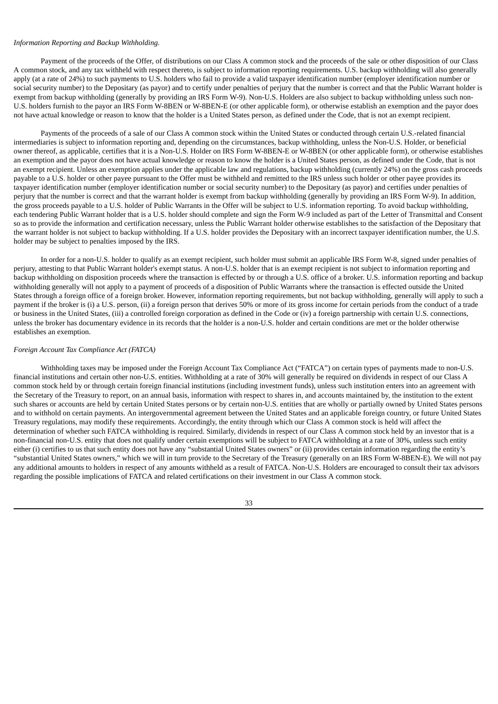## *Information Reporting and Backup Withholding.*

Payment of the proceeds of the Offer, of distributions on our Class A common stock and the proceeds of the sale or other disposition of our Class A common stock, and any tax withheld with respect thereto, is subject to information reporting requirements. U.S. backup withholding will also generally apply (at a rate of 24%) to such payments to U.S. holders who fail to provide a valid taxpayer identification number (employer identification number or social security number) to the Depositary (as payor) and to certify under penalties of perjury that the number is correct and that the Public Warrant holder is exempt from backup withholding (generally by providing an IRS Form W-9). Non-U.S. Holders are also subject to backup withholding unless such non-U.S. holders furnish to the payor an IRS Form W-8BEN or W-8BEN-E (or other applicable form), or otherwise establish an exemption and the payor does not have actual knowledge or reason to know that the holder is a United States person, as defined under the Code, that is not an exempt recipient.

Payments of the proceeds of a sale of our Class A common stock within the United States or conducted through certain U.S.-related financial intermediaries is subject to information reporting and, depending on the circumstances, backup withholding, unless the Non-U.S. Holder, or beneficial owner thereof, as applicable, certifies that it is a Non-U.S. Holder on IRS Form W-8BEN-E or W-8BEN (or other applicable form), or otherwise establishes an exemption and the payor does not have actual knowledge or reason to know the holder is a United States person, as defined under the Code, that is not an exempt recipient. Unless an exemption applies under the applicable law and regulations, backup withholding (currently 24%) on the gross cash proceeds payable to a U.S. holder or other payee pursuant to the Offer must be withheld and remitted to the IRS unless such holder or other payee provides its taxpayer identification number (employer identification number or social security number) to the Depositary (as payor) and certifies under penalties of perjury that the number is correct and that the warrant holder is exempt from backup withholding (generally by providing an IRS Form W-9). In addition, the gross proceeds payable to a U.S. holder of Public Warrants in the Offer will be subject to U.S. information reporting. To avoid backup withholding, each tendering Public Warrant holder that is a U.S. holder should complete and sign the Form W-9 included as part of the Letter of Transmittal and Consent so as to provide the information and certification necessary, unless the Public Warrant holder otherwise establishes to the satisfaction of the Depositary that the warrant holder is not subject to backup withholding. If a U.S. holder provides the Depositary with an incorrect taxpayer identification number, the U.S. holder may be subject to penalties imposed by the IRS.

In order for a non-U.S. holder to qualify as an exempt recipient, such holder must submit an applicable IRS Form W-8, signed under penalties of perjury, attesting to that Public Warrant holder's exempt status. A non-U.S. holder that is an exempt recipient is not subject to information reporting and backup withholding on disposition proceeds where the transaction is effected by or through a U.S. office of a broker. U.S. information reporting and backup withholding generally will not apply to a payment of proceeds of a disposition of Public Warrants where the transaction is effected outside the United States through a foreign office of a foreign broker. However, information reporting requirements, but not backup withholding, generally will apply to such a payment if the broker is (i) a U.S. person, (ii) a foreign person that derives 50% or more of its gross income for certain periods from the conduct of a trade or business in the United States, (iii) a controlled foreign corporation as defined in the Code or (iv) a foreign partnership with certain U.S. connections, unless the broker has documentary evidence in its records that the holder is a non-U.S. holder and certain conditions are met or the holder otherwise establishes an exemption.

## *Foreign Account Tax Compliance Act (FATCA)*

Withholding taxes may be imposed under the Foreign Account Tax Compliance Act ("FATCA") on certain types of payments made to non-U.S. financial institutions and certain other non-U.S. entities. Withholding at a rate of 30% will generally be required on dividends in respect of our Class A common stock held by or through certain foreign financial institutions (including investment funds), unless such institution enters into an agreement with the Secretary of the Treasury to report, on an annual basis, information with respect to shares in, and accounts maintained by, the institution to the extent such shares or accounts are held by certain United States persons or by certain non-U.S. entities that are wholly or partially owned by United States persons and to withhold on certain payments. An intergovernmental agreement between the United States and an applicable foreign country, or future United States Treasury regulations, may modify these requirements. Accordingly, the entity through which our Class A common stock is held will affect the determination of whether such FATCA withholding is required. Similarly, dividends in respect of our Class A common stock held by an investor that is a non-financial non-U.S. entity that does not qualify under certain exemptions will be subject to FATCA withholding at a rate of 30%, unless such entity either (i) certifies to us that such entity does not have any "substantial United States owners" or (ii) provides certain information regarding the entity's "substantial United States owners," which we will in turn provide to the Secretary of the Treasury (generally on an IRS Form W-8BEN-E). We will not pay any additional amounts to holders in respect of any amounts withheld as a result of FATCA. Non-U.S. Holders are encouraged to consult their tax advisors regarding the possible implications of FATCA and related certifications on their investment in our Class A common stock.

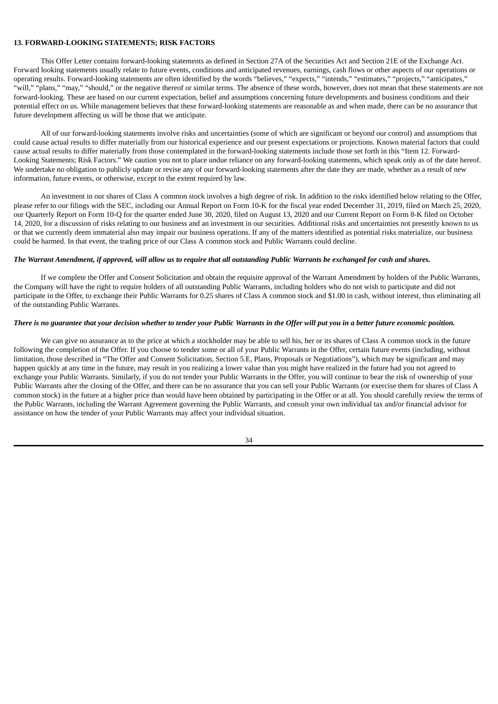## <span id="page-34-0"></span>**13. FORWARD-LOOKING STATEMENTS; RISK FACTORS**

This Offer Letter contains forward-looking statements as defined in Section 27A of the Securities Act and Section 21E of the Exchange Act. Forward looking statements usually relate to future events, conditions and anticipated revenues, earnings, cash flows or other aspects of our operations or operating results. Forward-looking statements are often identified by the words "believes," "expects," "intends," "estimates," "projects," "anticipates," "will," "plans," "may," "should," or the negative thereof or similar terms. The absence of these words, however, does not mean that these statements are not forward-looking. These are based on our current expectation, belief and assumptions concerning future developments and business conditions and their potential effect on us. While management believes that these forward-looking statements are reasonable as and when made, there can be no assurance that future development affecting us will be those that we anticipate.

All of our forward-looking statements involve risks and uncertainties (some of which are significant or beyond our control) and assumptions that could cause actual results to differ materially from our historical experience and our present expectations or projections. Known material factors that could cause actual results to differ materially from those contemplated in the forward-looking statements include those set forth in this "Item 12. Forward-Looking Statements; Risk Factors." We caution you not to place undue reliance on any forward-looking statements, which speak only as of the date hereof. We undertake no obligation to publicly update or revise any of our forward-looking statements after the date they are made, whether as a result of new information, future events, or otherwise, except to the extent required by law.

An investment in our shares of Class A common stock involves a high degree of risk. In addition to the risks identified below relating to the Offer, please refer to our filings with the SEC, including our Annual Report on Form 10-K for the fiscal year ended December 31, 2019, filed on March 25, 2020, our Quarterly Report on Form 10-Q for the quarter ended June 30, 2020, filed on August 13, 2020 and our Current Report on Form 8-K filed on October 14, 2020, for a discussion of risks relating to our business and an investment in our securities. Additional risks and uncertainties not presently known to us or that we currently deem immaterial also may impair our business operations. If any of the matters identified as potential risks materialize, our business could be harmed. In that event, the trading price of our Class A common stock and Public Warrants could decline.

#### The Warrant Amendment, if approved, will allow us to require that all outstanding Public Warrants be exchanged for cash and shares.

If we complete the Offer and Consent Solicitation and obtain the requisite approval of the Warrant Amendment by holders of the Public Warrants, the Company will have the right to require holders of all outstanding Public Warrants, including holders who do not wish to participate and did not participate in the Offer, to exchange their Public Warrants for 0.25 shares of Class A common stock and \$1.00 in cash, without interest, thus eliminating all of the outstanding Public Warrants.

### There is no guarantee that your decision whether to tender your Public Warrants in the Offer will put you in a better future economic position.

We can give no assurance as to the price at which a stockholder may be able to sell his, her or its shares of Class A common stock in the future following the completion of the Offer. If you choose to tender some or all of your Public Warrants in the Offer, certain future events (including, without limitation, those described in "The Offer and Consent Solicitation, Section 5.E, Plans, Proposals or Negotiations"), which may be significant and may happen quickly at any time in the future, may result in you realizing a lower value than you might have realized in the future had you not agreed to exchange your Public Warrants. Similarly, if you do not tender your Public Warrants in the Offer, you will continue to bear the risk of ownership of your Public Warrants after the closing of the Offer, and there can be no assurance that you can sell your Public Warrants (or exercise them for shares of Class A common stock) in the future at a higher price than would have been obtained by participating in the Offer or at all. You should carefully review the terms of the Public Warrants, including the Warrant Agreement governing the Public Warrants, and consult your own individual tax and/or financial advisor for assistance on how the tender of your Public Warrants may affect your individual situation.

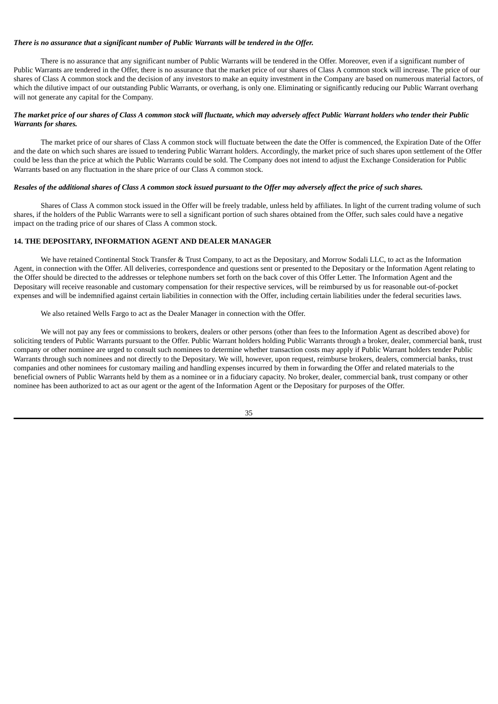## *There is no assurance that a significant number of Public Warrants will be tendered in the Offer.*

There is no assurance that any significant number of Public Warrants will be tendered in the Offer. Moreover, even if a significant number of Public Warrants are tendered in the Offer, there is no assurance that the market price of our shares of Class A common stock will increase. The price of our shares of Class A common stock and the decision of any investors to make an equity investment in the Company are based on numerous material factors, of which the dilutive impact of our outstanding Public Warrants, or overhang, is only one. Eliminating or significantly reducing our Public Warrant overhang will not generate any capital for the Company.

## The market price of our shares of Class A common stock will fluctuate, which may adversely affect Public Warrant holders who tender their Public *Warrants for shares.*

The market price of our shares of Class A common stock will fluctuate between the date the Offer is commenced, the Expiration Date of the Offer and the date on which such shares are issued to tendering Public Warrant holders. Accordingly, the market price of such shares upon settlement of the Offer could be less than the price at which the Public Warrants could be sold. The Company does not intend to adjust the Exchange Consideration for Public Warrants based on any fluctuation in the share price of our Class A common stock.

#### Resales of the additional shares of Class A common stock issued pursuant to the Offer may adversely affect the price of such shares.

Shares of Class A common stock issued in the Offer will be freely tradable, unless held by affiliates. In light of the current trading volume of such shares, if the holders of the Public Warrants were to sell a significant portion of such shares obtained from the Offer, such sales could have a negative impact on the trading price of our shares of Class A common stock.

## <span id="page-35-0"></span>**14. THE DEPOSITARY, INFORMATION AGENT AND DEALER MANAGER**

We have retained Continental Stock Transfer & Trust Company, to act as the Depositary, and Morrow Sodali LLC, to act as the Information Agent, in connection with the Offer. All deliveries, correspondence and questions sent or presented to the Depositary or the Information Agent relating to the Offer should be directed to the addresses or telephone numbers set forth on the back cover of this Offer Letter. The Information Agent and the Depositary will receive reasonable and customary compensation for their respective services, will be reimbursed by us for reasonable out-of-pocket expenses and will be indemnified against certain liabilities in connection with the Offer, including certain liabilities under the federal securities laws.

#### We also retained Wells Fargo to act as the Dealer Manager in connection with the Offer.

We will not pay any fees or commissions to brokers, dealers or other persons (other than fees to the Information Agent as described above) for soliciting tenders of Public Warrants pursuant to the Offer. Public Warrant holders holding Public Warrants through a broker, dealer, commercial bank, trust company or other nominee are urged to consult such nominees to determine whether transaction costs may apply if Public Warrant holders tender Public Warrants through such nominees and not directly to the Depositary. We will, however, upon request, reimburse brokers, dealers, commercial banks, trust companies and other nominees for customary mailing and handling expenses incurred by them in forwarding the Offer and related materials to the beneficial owners of Public Warrants held by them as a nominee or in a fiduciary capacity. No broker, dealer, commercial bank, trust company or other nominee has been authorized to act as our agent or the agent of the Information Agent or the Depositary for purposes of the Offer.

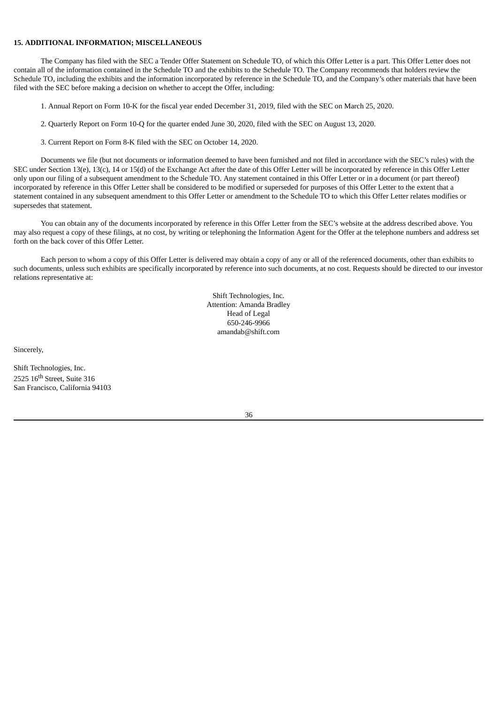## <span id="page-36-0"></span>**15. ADDITIONAL INFORMATION; MISCELLANEOUS**

The Company has filed with the SEC a Tender Offer Statement on Schedule TO, of which this Offer Letter is a part. This Offer Letter does not contain all of the information contained in the Schedule TO and the exhibits to the Schedule TO. The Company recommends that holders review the Schedule TO, including the exhibits and the information incorporated by reference in the Schedule TO, and the Company's other materials that have been filed with the SEC before making a decision on whether to accept the Offer, including:

1. Annual Report on Form 10-K for the fiscal year ended December 31, 2019, filed with the SEC on March 25, 2020.

- 2. Quarterly Report on Form 10-Q for the quarter ended June 30, 2020, filed with the SEC on August 13, 2020.
- 3. Current Report on Form 8-K filed with the SEC on October 14, 2020.

Documents we file (but not documents or information deemed to have been furnished and not filed in accordance with the SEC's rules) with the SEC under Section 13(e), 13(c), 14 or 15(d) of the Exchange Act after the date of this Offer Letter will be incorporated by reference in this Offer Letter only upon our filing of a subsequent amendment to the Schedule TO. Any statement contained in this Offer Letter or in a document (or part thereof) incorporated by reference in this Offer Letter shall be considered to be modified or superseded for purposes of this Offer Letter to the extent that a statement contained in any subsequent amendment to this Offer Letter or amendment to the Schedule TO to which this Offer Letter relates modifies or supersedes that statement.

You can obtain any of the documents incorporated by reference in this Offer Letter from the SEC's website at the address described above. You may also request a copy of these filings, at no cost, by writing or telephoning the Information Agent for the Offer at the telephone numbers and address set forth on the back cover of this Offer Letter.

Each person to whom a copy of this Offer Letter is delivered may obtain a copy of any or all of the referenced documents, other than exhibits to such documents, unless such exhibits are specifically incorporated by reference into such documents, at no cost. Requests should be directed to our investor relations representative at:

> Shift Technologies, Inc. Attention: Amanda Bradley Head of Legal 650-246-9966 amandab@shift.com

Sincerely,

Shift Technologies, Inc. 2525 16<sup>th</sup> Street, Suite 316 San Francisco, California 94103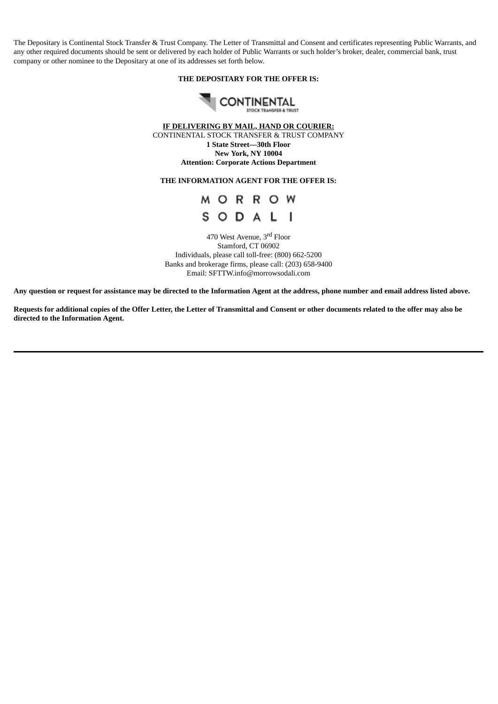The Depositary is Continental Stock Transfer & Trust Company. The Letter of Transmittal and Consent and certificates representing Public Warrants, and any other required documents should be sent or delivered by each holder of Public Warrants or such holder's broker, dealer, commercial bank, trust company or other nominee to the Depositary at one of its addresses set forth below.

# **THE DEPOSITARY FOR THE OFFER IS:**



**IF DELIVERING BY MAIL, HAND OR COURIER:** CONTINENTAL STOCK TRANSFER & TRUST COMPANY **1 State Street—30th Floor New York, NY 10004 Attention: Corporate Actions Department**

# **THE INFORMATION AGENT FOR THE OFFER IS:**

# M O R R O W SODALI

470 West Avenue, 3<sup>rd</sup> Floor Stamford, CT 06902 Individuals, please call toll-free: (800) 662-5200 Banks and brokerage firms, please call: (203) 658-9400 Email: SFTTW.info@morrowsodali.com

Any question or request for assistance may be directed to the Information Agent at the address, phone number and email address listed above.

Requests for additional copies of the Offer Letter, the Letter of Transmittal and Consent or other documents related to the offer may also be **directed to the Information Agent.**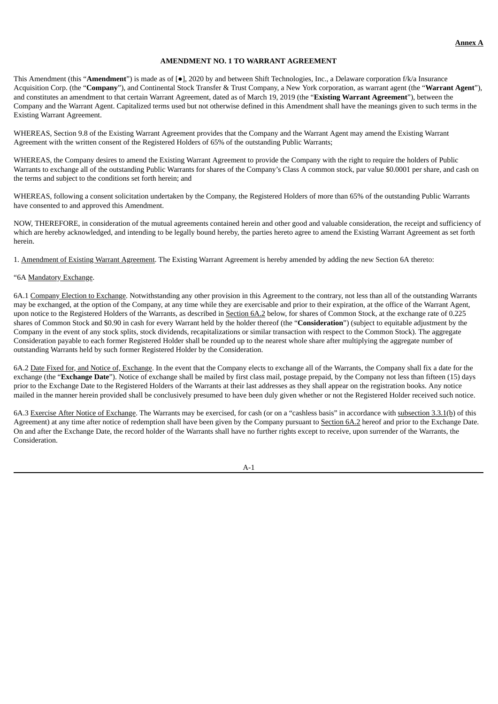## **AMENDMENT NO. 1 TO WARRANT AGREEMENT**

This Amendment (this "**Amendment**") is made as of [●], 2020 by and between Shift Technologies, Inc., a Delaware corporation f/k/a Insurance Acquisition Corp. (the "**Company**"), and Continental Stock Transfer & Trust Company, a New York corporation, as warrant agent (the "**Warrant Agent**"), and constitutes an amendment to that certain Warrant Agreement, dated as of March 19, 2019 (the "**Existing Warrant Agreement**"), between the Company and the Warrant Agent. Capitalized terms used but not otherwise defined in this Amendment shall have the meanings given to such terms in the Existing Warrant Agreement.

WHEREAS, Section 9.8 of the Existing Warrant Agreement provides that the Company and the Warrant Agent may amend the Existing Warrant Agreement with the written consent of the Registered Holders of 65% of the outstanding Public Warrants;

WHEREAS, the Company desires to amend the Existing Warrant Agreement to provide the Company with the right to require the holders of Public Warrants to exchange all of the outstanding Public Warrants for shares of the Company's Class A common stock, par value \$0.0001 per share, and cash on the terms and subject to the conditions set forth herein; and

WHEREAS, following a consent solicitation undertaken by the Company, the Registered Holders of more than 65% of the outstanding Public Warrants have consented to and approved this Amendment.

NOW, THEREFORE, in consideration of the mutual agreements contained herein and other good and valuable consideration, the receipt and sufficiency of which are hereby acknowledged, and intending to be legally bound hereby, the parties hereto agree to amend the Existing Warrant Agreement as set forth herein.

1. Amendment of Existing Warrant Agreement. The Existing Warrant Agreement is hereby amended by adding the new Section 6A thereto:

## "6A Mandatory Exchange.

6A.1 Company Election to Exchange. Notwithstanding any other provision in this Agreement to the contrary, not less than all of the outstanding Warrants may be exchanged, at the option of the Company, at any time while they are exercisable and prior to their expiration, at the office of the Warrant Agent, upon notice to the Registered Holders of the Warrants, as described in **Section 6A.2** below, for shares of Common Stock, at the exchange rate of 0.225 shares of Common Stock and \$0.90 in cash for every Warrant held by the holder thereof (the "**Consideration**") (subject to equitable adjustment by the Company in the event of any stock splits, stock dividends, recapitalizations or similar transaction with respect to the Common Stock). The aggregate Consideration payable to each former Registered Holder shall be rounded up to the nearest whole share after multiplying the aggregate number of outstanding Warrants held by such former Registered Holder by the Consideration.

6A.2 Date Fixed for, and Notice of, Exchange. In the event that the Company elects to exchange all of the Warrants, the Company shall fix a date for the exchange (the "**Exchange Date**"). Notice of exchange shall be mailed by first class mail, postage prepaid, by the Company not less than fifteen (15) days prior to the Exchange Date to the Registered Holders of the Warrants at their last addresses as they shall appear on the registration books. Any notice mailed in the manner herein provided shall be conclusively presumed to have been duly given whether or not the Registered Holder received such notice.

6A.3 Exercise After Notice of Exchange. The Warrants may be exercised, for cash (or on a "cashless basis" in accordance with subsection 3.3.1(b) of this Agreement) at any time after notice of redemption shall have been given by the Company pursuant to Section 6A.2 hereof and prior to the Exchange Date. On and after the Exchange Date, the record holder of the Warrants shall have no further rights except to receive, upon surrender of the Warrants, the Consideration.

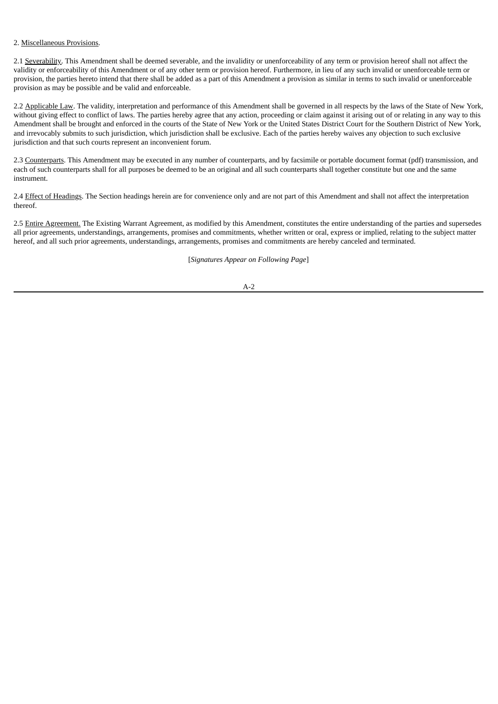## 2. Miscellaneous Provisions.

2.1 Severability. This Amendment shall be deemed severable, and the invalidity or unenforceability of any term or provision hereof shall not affect the validity or enforceability of this Amendment or of any other term or provision hereof. Furthermore, in lieu of any such invalid or unenforceable term or provision, the parties hereto intend that there shall be added as a part of this Amendment a provision as similar in terms to such invalid or unenforceable provision as may be possible and be valid and enforceable.

2.2 Applicable Law. The validity, interpretation and performance of this Amendment shall be governed in all respects by the laws of the State of New York, without giving effect to conflict of laws. The parties hereby agree that any action, proceeding or claim against it arising out of or relating in any way to this Amendment shall be brought and enforced in the courts of the State of New York or the United States District Court for the Southern District of New York, and irrevocably submits to such jurisdiction, which jurisdiction shall be exclusive. Each of the parties hereby waives any objection to such exclusive jurisdiction and that such courts represent an inconvenient forum.

2.3 Counterparts. This Amendment may be executed in any number of counterparts, and by facsimile or portable document format (pdf) transmission, and each of such counterparts shall for all purposes be deemed to be an original and all such counterparts shall together constitute but one and the same instrument.

2.4 Effect of Headings. The Section headings herein are for convenience only and are not part of this Amendment and shall not affect the interpretation thereof.

2.5 Entire Agreement. The Existing Warrant Agreement, as modified by this Amendment, constitutes the entire understanding of the parties and supersedes all prior agreements, understandings, arrangements, promises and commitments, whether written or oral, express or implied, relating to the subject matter hereof, and all such prior agreements, understandings, arrangements, promises and commitments are hereby canceled and terminated.

[*Signatures Appear on Following Page*]

#### A-2